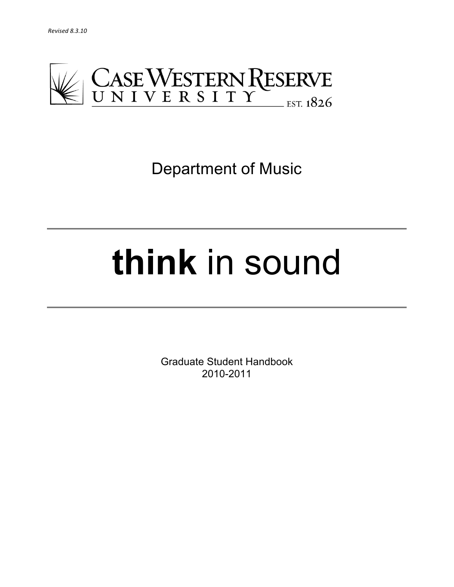

Department of Music

# **think** in sound

Graduate Student Handbook 2010-2011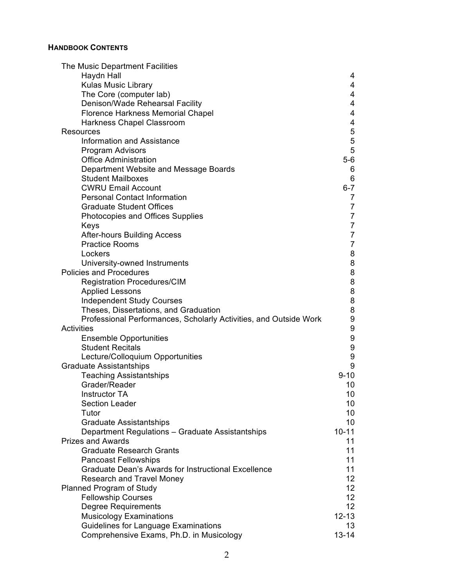# **HANDBOOK CONTENTS**

| Haydn Hall<br>4<br>4<br><b>Kulas Music Library</b><br>4<br>The Core (computer lab)<br>Denison/Wade Rehearsal Facility<br>4<br>4<br><b>Florence Harkness Memorial Chapel</b><br>4<br>Harkness Chapel Classroom<br>$\mathbf 5$<br>Resources<br>5<br><b>Information and Assistance</b><br>5<br>Program Advisors<br>$5-6$<br><b>Office Administration</b><br>Department Website and Message Boards<br>6<br>6<br><b>Student Mailboxes</b><br>$6 - 7$<br><b>CWRU Email Account</b><br><b>Personal Contact Information</b><br>$\overline{7}$<br>$\overline{7}$<br><b>Graduate Student Offices</b><br>$\overline{7}$<br>Photocopies and Offices Supplies<br>$\overline{7}$<br>Keys<br>$\overline{7}$<br><b>After-hours Building Access</b><br>$\overline{7}$<br><b>Practice Rooms</b><br>8<br>Lockers<br>8<br>University-owned Instruments<br>8<br><b>Policies and Procedures</b><br>$\begin{matrix}8\\8\end{matrix}$<br><b>Registration Procedures/CIM</b><br><b>Applied Lessons</b><br>8<br><b>Independent Study Courses</b><br>8<br>Theses, Dissertations, and Graduation<br>9<br>Professional Performances, Scholarly Activities, and Outside Work<br>9<br><b>Activities</b><br>9<br><b>Ensemble Opportunities</b><br>9<br><b>Student Recitals</b><br>9<br>Lecture/Colloquium Opportunities<br>9<br><b>Graduate Assistantships</b><br><b>Teaching Assistantships</b><br>$9 - 10$<br>Grader/Reader<br>10<br>10 <sub>1</sub><br>Instructor TA<br><b>Section Leader</b><br>10<br>10 <sup>°</sup><br>Tutor<br><b>Graduate Assistantships</b><br>10<br>Department Regulations - Graduate Assistantships<br>$10 - 11$<br><b>Prizes and Awards</b><br>11<br><b>Graduate Research Grants</b><br>11<br>11<br><b>Pancoast Fellowships</b><br><b>Graduate Dean's Awards for Instructional Excellence</b><br>11<br>12 <sub>2</sub><br><b>Research and Travel Money</b><br>12 <sub>2</sub><br>Planned Program of Study<br>12 <sub>2</sub><br><b>Fellowship Courses</b><br>12 <sub>2</sub><br><b>Degree Requirements</b><br>$12 - 13$<br><b>Musicology Examinations</b><br><b>Guidelines for Language Examinations</b><br>13 <sup>2</sup> | The Music Department Facilities          |           |
|-------------------------------------------------------------------------------------------------------------------------------------------------------------------------------------------------------------------------------------------------------------------------------------------------------------------------------------------------------------------------------------------------------------------------------------------------------------------------------------------------------------------------------------------------------------------------------------------------------------------------------------------------------------------------------------------------------------------------------------------------------------------------------------------------------------------------------------------------------------------------------------------------------------------------------------------------------------------------------------------------------------------------------------------------------------------------------------------------------------------------------------------------------------------------------------------------------------------------------------------------------------------------------------------------------------------------------------------------------------------------------------------------------------------------------------------------------------------------------------------------------------------------------------------------------------------------------------------------------------------------------------------------------------------------------------------------------------------------------------------------------------------------------------------------------------------------------------------------------------------------------------------------------------------------------------------------------------------------------------------------------------------------------------------------------------------------------------------------------------------------|------------------------------------------|-----------|
|                                                                                                                                                                                                                                                                                                                                                                                                                                                                                                                                                                                                                                                                                                                                                                                                                                                                                                                                                                                                                                                                                                                                                                                                                                                                                                                                                                                                                                                                                                                                                                                                                                                                                                                                                                                                                                                                                                                                                                                                                                                                                                                         |                                          |           |
|                                                                                                                                                                                                                                                                                                                                                                                                                                                                                                                                                                                                                                                                                                                                                                                                                                                                                                                                                                                                                                                                                                                                                                                                                                                                                                                                                                                                                                                                                                                                                                                                                                                                                                                                                                                                                                                                                                                                                                                                                                                                                                                         |                                          |           |
|                                                                                                                                                                                                                                                                                                                                                                                                                                                                                                                                                                                                                                                                                                                                                                                                                                                                                                                                                                                                                                                                                                                                                                                                                                                                                                                                                                                                                                                                                                                                                                                                                                                                                                                                                                                                                                                                                                                                                                                                                                                                                                                         |                                          |           |
|                                                                                                                                                                                                                                                                                                                                                                                                                                                                                                                                                                                                                                                                                                                                                                                                                                                                                                                                                                                                                                                                                                                                                                                                                                                                                                                                                                                                                                                                                                                                                                                                                                                                                                                                                                                                                                                                                                                                                                                                                                                                                                                         |                                          |           |
|                                                                                                                                                                                                                                                                                                                                                                                                                                                                                                                                                                                                                                                                                                                                                                                                                                                                                                                                                                                                                                                                                                                                                                                                                                                                                                                                                                                                                                                                                                                                                                                                                                                                                                                                                                                                                                                                                                                                                                                                                                                                                                                         |                                          |           |
|                                                                                                                                                                                                                                                                                                                                                                                                                                                                                                                                                                                                                                                                                                                                                                                                                                                                                                                                                                                                                                                                                                                                                                                                                                                                                                                                                                                                                                                                                                                                                                                                                                                                                                                                                                                                                                                                                                                                                                                                                                                                                                                         |                                          |           |
|                                                                                                                                                                                                                                                                                                                                                                                                                                                                                                                                                                                                                                                                                                                                                                                                                                                                                                                                                                                                                                                                                                                                                                                                                                                                                                                                                                                                                                                                                                                                                                                                                                                                                                                                                                                                                                                                                                                                                                                                                                                                                                                         |                                          |           |
|                                                                                                                                                                                                                                                                                                                                                                                                                                                                                                                                                                                                                                                                                                                                                                                                                                                                                                                                                                                                                                                                                                                                                                                                                                                                                                                                                                                                                                                                                                                                                                                                                                                                                                                                                                                                                                                                                                                                                                                                                                                                                                                         |                                          |           |
|                                                                                                                                                                                                                                                                                                                                                                                                                                                                                                                                                                                                                                                                                                                                                                                                                                                                                                                                                                                                                                                                                                                                                                                                                                                                                                                                                                                                                                                                                                                                                                                                                                                                                                                                                                                                                                                                                                                                                                                                                                                                                                                         |                                          |           |
|                                                                                                                                                                                                                                                                                                                                                                                                                                                                                                                                                                                                                                                                                                                                                                                                                                                                                                                                                                                                                                                                                                                                                                                                                                                                                                                                                                                                                                                                                                                                                                                                                                                                                                                                                                                                                                                                                                                                                                                                                                                                                                                         |                                          |           |
|                                                                                                                                                                                                                                                                                                                                                                                                                                                                                                                                                                                                                                                                                                                                                                                                                                                                                                                                                                                                                                                                                                                                                                                                                                                                                                                                                                                                                                                                                                                                                                                                                                                                                                                                                                                                                                                                                                                                                                                                                                                                                                                         |                                          |           |
|                                                                                                                                                                                                                                                                                                                                                                                                                                                                                                                                                                                                                                                                                                                                                                                                                                                                                                                                                                                                                                                                                                                                                                                                                                                                                                                                                                                                                                                                                                                                                                                                                                                                                                                                                                                                                                                                                                                                                                                                                                                                                                                         |                                          |           |
|                                                                                                                                                                                                                                                                                                                                                                                                                                                                                                                                                                                                                                                                                                                                                                                                                                                                                                                                                                                                                                                                                                                                                                                                                                                                                                                                                                                                                                                                                                                                                                                                                                                                                                                                                                                                                                                                                                                                                                                                                                                                                                                         |                                          |           |
|                                                                                                                                                                                                                                                                                                                                                                                                                                                                                                                                                                                                                                                                                                                                                                                                                                                                                                                                                                                                                                                                                                                                                                                                                                                                                                                                                                                                                                                                                                                                                                                                                                                                                                                                                                                                                                                                                                                                                                                                                                                                                                                         |                                          |           |
|                                                                                                                                                                                                                                                                                                                                                                                                                                                                                                                                                                                                                                                                                                                                                                                                                                                                                                                                                                                                                                                                                                                                                                                                                                                                                                                                                                                                                                                                                                                                                                                                                                                                                                                                                                                                                                                                                                                                                                                                                                                                                                                         |                                          |           |
|                                                                                                                                                                                                                                                                                                                                                                                                                                                                                                                                                                                                                                                                                                                                                                                                                                                                                                                                                                                                                                                                                                                                                                                                                                                                                                                                                                                                                                                                                                                                                                                                                                                                                                                                                                                                                                                                                                                                                                                                                                                                                                                         |                                          |           |
|                                                                                                                                                                                                                                                                                                                                                                                                                                                                                                                                                                                                                                                                                                                                                                                                                                                                                                                                                                                                                                                                                                                                                                                                                                                                                                                                                                                                                                                                                                                                                                                                                                                                                                                                                                                                                                                                                                                                                                                                                                                                                                                         |                                          |           |
|                                                                                                                                                                                                                                                                                                                                                                                                                                                                                                                                                                                                                                                                                                                                                                                                                                                                                                                                                                                                                                                                                                                                                                                                                                                                                                                                                                                                                                                                                                                                                                                                                                                                                                                                                                                                                                                                                                                                                                                                                                                                                                                         |                                          |           |
|                                                                                                                                                                                                                                                                                                                                                                                                                                                                                                                                                                                                                                                                                                                                                                                                                                                                                                                                                                                                                                                                                                                                                                                                                                                                                                                                                                                                                                                                                                                                                                                                                                                                                                                                                                                                                                                                                                                                                                                                                                                                                                                         |                                          |           |
|                                                                                                                                                                                                                                                                                                                                                                                                                                                                                                                                                                                                                                                                                                                                                                                                                                                                                                                                                                                                                                                                                                                                                                                                                                                                                                                                                                                                                                                                                                                                                                                                                                                                                                                                                                                                                                                                                                                                                                                                                                                                                                                         |                                          |           |
|                                                                                                                                                                                                                                                                                                                                                                                                                                                                                                                                                                                                                                                                                                                                                                                                                                                                                                                                                                                                                                                                                                                                                                                                                                                                                                                                                                                                                                                                                                                                                                                                                                                                                                                                                                                                                                                                                                                                                                                                                                                                                                                         |                                          |           |
|                                                                                                                                                                                                                                                                                                                                                                                                                                                                                                                                                                                                                                                                                                                                                                                                                                                                                                                                                                                                                                                                                                                                                                                                                                                                                                                                                                                                                                                                                                                                                                                                                                                                                                                                                                                                                                                                                                                                                                                                                                                                                                                         |                                          |           |
|                                                                                                                                                                                                                                                                                                                                                                                                                                                                                                                                                                                                                                                                                                                                                                                                                                                                                                                                                                                                                                                                                                                                                                                                                                                                                                                                                                                                                                                                                                                                                                                                                                                                                                                                                                                                                                                                                                                                                                                                                                                                                                                         |                                          |           |
|                                                                                                                                                                                                                                                                                                                                                                                                                                                                                                                                                                                                                                                                                                                                                                                                                                                                                                                                                                                                                                                                                                                                                                                                                                                                                                                                                                                                                                                                                                                                                                                                                                                                                                                                                                                                                                                                                                                                                                                                                                                                                                                         |                                          |           |
|                                                                                                                                                                                                                                                                                                                                                                                                                                                                                                                                                                                                                                                                                                                                                                                                                                                                                                                                                                                                                                                                                                                                                                                                                                                                                                                                                                                                                                                                                                                                                                                                                                                                                                                                                                                                                                                                                                                                                                                                                                                                                                                         |                                          |           |
|                                                                                                                                                                                                                                                                                                                                                                                                                                                                                                                                                                                                                                                                                                                                                                                                                                                                                                                                                                                                                                                                                                                                                                                                                                                                                                                                                                                                                                                                                                                                                                                                                                                                                                                                                                                                                                                                                                                                                                                                                                                                                                                         |                                          |           |
|                                                                                                                                                                                                                                                                                                                                                                                                                                                                                                                                                                                                                                                                                                                                                                                                                                                                                                                                                                                                                                                                                                                                                                                                                                                                                                                                                                                                                                                                                                                                                                                                                                                                                                                                                                                                                                                                                                                                                                                                                                                                                                                         |                                          |           |
|                                                                                                                                                                                                                                                                                                                                                                                                                                                                                                                                                                                                                                                                                                                                                                                                                                                                                                                                                                                                                                                                                                                                                                                                                                                                                                                                                                                                                                                                                                                                                                                                                                                                                                                                                                                                                                                                                                                                                                                                                                                                                                                         |                                          |           |
|                                                                                                                                                                                                                                                                                                                                                                                                                                                                                                                                                                                                                                                                                                                                                                                                                                                                                                                                                                                                                                                                                                                                                                                                                                                                                                                                                                                                                                                                                                                                                                                                                                                                                                                                                                                                                                                                                                                                                                                                                                                                                                                         |                                          |           |
|                                                                                                                                                                                                                                                                                                                                                                                                                                                                                                                                                                                                                                                                                                                                                                                                                                                                                                                                                                                                                                                                                                                                                                                                                                                                                                                                                                                                                                                                                                                                                                                                                                                                                                                                                                                                                                                                                                                                                                                                                                                                                                                         |                                          |           |
|                                                                                                                                                                                                                                                                                                                                                                                                                                                                                                                                                                                                                                                                                                                                                                                                                                                                                                                                                                                                                                                                                                                                                                                                                                                                                                                                                                                                                                                                                                                                                                                                                                                                                                                                                                                                                                                                                                                                                                                                                                                                                                                         |                                          |           |
|                                                                                                                                                                                                                                                                                                                                                                                                                                                                                                                                                                                                                                                                                                                                                                                                                                                                                                                                                                                                                                                                                                                                                                                                                                                                                                                                                                                                                                                                                                                                                                                                                                                                                                                                                                                                                                                                                                                                                                                                                                                                                                                         |                                          |           |
|                                                                                                                                                                                                                                                                                                                                                                                                                                                                                                                                                                                                                                                                                                                                                                                                                                                                                                                                                                                                                                                                                                                                                                                                                                                                                                                                                                                                                                                                                                                                                                                                                                                                                                                                                                                                                                                                                                                                                                                                                                                                                                                         |                                          |           |
|                                                                                                                                                                                                                                                                                                                                                                                                                                                                                                                                                                                                                                                                                                                                                                                                                                                                                                                                                                                                                                                                                                                                                                                                                                                                                                                                                                                                                                                                                                                                                                                                                                                                                                                                                                                                                                                                                                                                                                                                                                                                                                                         |                                          |           |
|                                                                                                                                                                                                                                                                                                                                                                                                                                                                                                                                                                                                                                                                                                                                                                                                                                                                                                                                                                                                                                                                                                                                                                                                                                                                                                                                                                                                                                                                                                                                                                                                                                                                                                                                                                                                                                                                                                                                                                                                                                                                                                                         |                                          |           |
|                                                                                                                                                                                                                                                                                                                                                                                                                                                                                                                                                                                                                                                                                                                                                                                                                                                                                                                                                                                                                                                                                                                                                                                                                                                                                                                                                                                                                                                                                                                                                                                                                                                                                                                                                                                                                                                                                                                                                                                                                                                                                                                         |                                          |           |
|                                                                                                                                                                                                                                                                                                                                                                                                                                                                                                                                                                                                                                                                                                                                                                                                                                                                                                                                                                                                                                                                                                                                                                                                                                                                                                                                                                                                                                                                                                                                                                                                                                                                                                                                                                                                                                                                                                                                                                                                                                                                                                                         |                                          |           |
|                                                                                                                                                                                                                                                                                                                                                                                                                                                                                                                                                                                                                                                                                                                                                                                                                                                                                                                                                                                                                                                                                                                                                                                                                                                                                                                                                                                                                                                                                                                                                                                                                                                                                                                                                                                                                                                                                                                                                                                                                                                                                                                         |                                          |           |
|                                                                                                                                                                                                                                                                                                                                                                                                                                                                                                                                                                                                                                                                                                                                                                                                                                                                                                                                                                                                                                                                                                                                                                                                                                                                                                                                                                                                                                                                                                                                                                                                                                                                                                                                                                                                                                                                                                                                                                                                                                                                                                                         |                                          |           |
|                                                                                                                                                                                                                                                                                                                                                                                                                                                                                                                                                                                                                                                                                                                                                                                                                                                                                                                                                                                                                                                                                                                                                                                                                                                                                                                                                                                                                                                                                                                                                                                                                                                                                                                                                                                                                                                                                                                                                                                                                                                                                                                         |                                          |           |
|                                                                                                                                                                                                                                                                                                                                                                                                                                                                                                                                                                                                                                                                                                                                                                                                                                                                                                                                                                                                                                                                                                                                                                                                                                                                                                                                                                                                                                                                                                                                                                                                                                                                                                                                                                                                                                                                                                                                                                                                                                                                                                                         |                                          |           |
|                                                                                                                                                                                                                                                                                                                                                                                                                                                                                                                                                                                                                                                                                                                                                                                                                                                                                                                                                                                                                                                                                                                                                                                                                                                                                                                                                                                                                                                                                                                                                                                                                                                                                                                                                                                                                                                                                                                                                                                                                                                                                                                         |                                          |           |
|                                                                                                                                                                                                                                                                                                                                                                                                                                                                                                                                                                                                                                                                                                                                                                                                                                                                                                                                                                                                                                                                                                                                                                                                                                                                                                                                                                                                                                                                                                                                                                                                                                                                                                                                                                                                                                                                                                                                                                                                                                                                                                                         |                                          |           |
|                                                                                                                                                                                                                                                                                                                                                                                                                                                                                                                                                                                                                                                                                                                                                                                                                                                                                                                                                                                                                                                                                                                                                                                                                                                                                                                                                                                                                                                                                                                                                                                                                                                                                                                                                                                                                                                                                                                                                                                                                                                                                                                         |                                          |           |
|                                                                                                                                                                                                                                                                                                                                                                                                                                                                                                                                                                                                                                                                                                                                                                                                                                                                                                                                                                                                                                                                                                                                                                                                                                                                                                                                                                                                                                                                                                                                                                                                                                                                                                                                                                                                                                                                                                                                                                                                                                                                                                                         |                                          |           |
|                                                                                                                                                                                                                                                                                                                                                                                                                                                                                                                                                                                                                                                                                                                                                                                                                                                                                                                                                                                                                                                                                                                                                                                                                                                                                                                                                                                                                                                                                                                                                                                                                                                                                                                                                                                                                                                                                                                                                                                                                                                                                                                         |                                          |           |
|                                                                                                                                                                                                                                                                                                                                                                                                                                                                                                                                                                                                                                                                                                                                                                                                                                                                                                                                                                                                                                                                                                                                                                                                                                                                                                                                                                                                                                                                                                                                                                                                                                                                                                                                                                                                                                                                                                                                                                                                                                                                                                                         |                                          |           |
|                                                                                                                                                                                                                                                                                                                                                                                                                                                                                                                                                                                                                                                                                                                                                                                                                                                                                                                                                                                                                                                                                                                                                                                                                                                                                                                                                                                                                                                                                                                                                                                                                                                                                                                                                                                                                                                                                                                                                                                                                                                                                                                         |                                          |           |
|                                                                                                                                                                                                                                                                                                                                                                                                                                                                                                                                                                                                                                                                                                                                                                                                                                                                                                                                                                                                                                                                                                                                                                                                                                                                                                                                                                                                                                                                                                                                                                                                                                                                                                                                                                                                                                                                                                                                                                                                                                                                                                                         |                                          |           |
|                                                                                                                                                                                                                                                                                                                                                                                                                                                                                                                                                                                                                                                                                                                                                                                                                                                                                                                                                                                                                                                                                                                                                                                                                                                                                                                                                                                                                                                                                                                                                                                                                                                                                                                                                                                                                                                                                                                                                                                                                                                                                                                         | Comprehensive Exams, Ph.D. in Musicology | $13 - 14$ |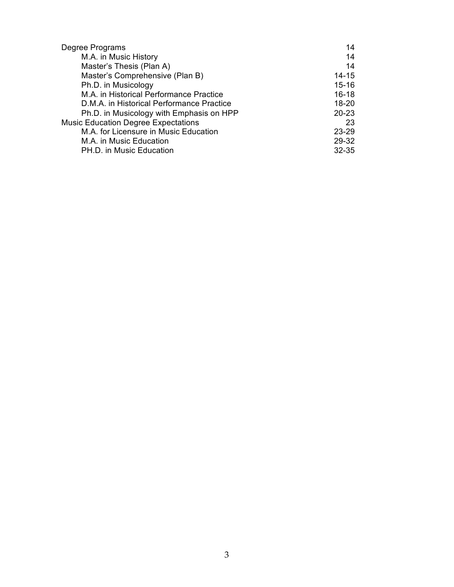| Degree Programs                            | 14        |
|--------------------------------------------|-----------|
| M.A. in Music History                      | 14        |
| Master's Thesis (Plan A)                   | 14        |
| Master's Comprehensive (Plan B)            | $14 - 15$ |
| Ph.D. in Musicology                        | $15 - 16$ |
| M.A. in Historical Performance Practice    | $16 - 18$ |
| D.M.A. in Historical Performance Practice  | $18 - 20$ |
| Ph.D. in Musicology with Emphasis on HPP   | $20 - 23$ |
| <b>Music Education Degree Expectations</b> | 23        |
| M.A. for Licensure in Music Education      | 23-29     |
| M.A. in Music Education                    | 29-32     |
| PH.D. in Music Education                   | $32 - 35$ |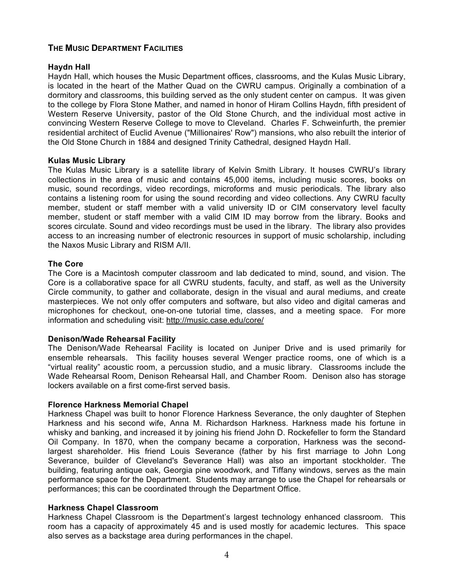# **THE MUSIC DEPARTMENT FACILITIES**

## **Haydn Hall**

Haydn Hall, which houses the Music Department offices, classrooms, and the Kulas Music Library, is located in the heart of the Mather Quad on the CWRU campus. Originally a combination of a dormitory and classrooms, this building served as the only student center on campus. It was given to the college by Flora Stone Mather, and named in honor of Hiram Collins Haydn, fifth president of Western Reserve University, pastor of the Old Stone Church, and the individual most active in convincing Western Reserve College to move to Cleveland. Charles F. Schweinfurth, the premier residential architect of Euclid Avenue ("Millionaires' Row") mansions, who also rebuilt the interior of the Old Stone Church in 1884 and designed Trinity Cathedral, designed Haydn Hall.

## **Kulas Music Library**

The Kulas Music Library is a satellite library of Kelvin Smith Library. It houses CWRU's library collections in the area of music and contains 45,000 items, including music scores, books on music, sound recordings, video recordings, microforms and music periodicals. The library also contains a listening room for using the sound recording and video collections. Any CWRU faculty member, student or staff member with a valid university ID or CIM conservatory level faculty member, student or staff member with a valid CIM ID may borrow from the library. Books and scores circulate. Sound and video recordings must be used in the library. The library also provides access to an increasing number of electronic resources in support of music scholarship, including the Naxos Music Library and RISM A/II.

## **The Core**

The Core is a Macintosh computer classroom and lab dedicated to mind, sound, and vision. The Core is a collaborative space for all CWRU students, faculty, and staff, as well as the University Circle community, to gather and collaborate, design in the visual and aural mediums, and create masterpieces. We not only offer computers and software, but also video and digital cameras and microphones for checkout, one-on-one tutorial time, classes, and a meeting space. For more information and scheduling visit: http://music.case.edu/core/

# **Denison/Wade Rehearsal Facility**

The Denison/Wade Rehearsal Facility is located on Juniper Drive and is used primarily for ensemble rehearsals. This facility houses several Wenger practice rooms, one of which is a "virtual reality" acoustic room, a percussion studio, and a music library. Classrooms include the Wade Rehearsal Room, Denison Rehearsal Hall, and Chamber Room. Denison also has storage lockers available on a first come-first served basis.

#### **Florence Harkness Memorial Chapel**

Harkness Chapel was built to honor Florence Harkness Severance, the only daughter of Stephen Harkness and his second wife, Anna M. Richardson Harkness. Harkness made his fortune in whisky and banking, and increased it by joining his friend John D. Rockefeller to form the Standard Oil Company. In 1870, when the company became a corporation, Harkness was the secondlargest shareholder. His friend Louis Severance (father by his first marriage to John Long Severance, builder of Cleveland's Severance Hall) was also an important stockholder. The building, featuring antique oak, Georgia pine woodwork, and Tiffany windows, serves as the main performance space for the Department. Students may arrange to use the Chapel for rehearsals or performances; this can be coordinated through the Department Office.

#### **Harkness Chapel Classroom**

Harkness Chapel Classroom is the Department's largest technology enhanced classroom. This room has a capacity of approximately 45 and is used mostly for academic lectures. This space also serves as a backstage area during performances in the chapel.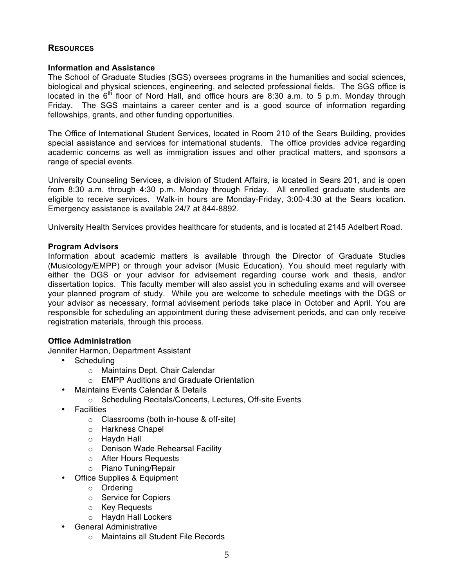# **RESOURCES**

## **Information and Assistance**

The School of Graduate Studies (SGS) oversees programs in the humanities and social sciences, biological and physical sciences, engineering, and selected professional fields. The SGS office is located in the  $6<sup>th</sup>$  floor of Nord Hall, and office hours are 8:30 a.m. to 5 p.m. Monday through Friday. The SGS maintains a career center and is a good source of information regarding fellowships, grants, and other funding opportunities.

The Office of International Student Services, located in Room 210 of the Sears Building, provides special assistance and services for international students. The office provides advice regarding academic concerns as well as immigration issues and other practical matters, and sponsors a range of special events.

University Counseling Services, a division of Student Affairs, is located in Sears 201, and is open from 8:30 a.m. through 4:30 p.m. Monday through Friday. All enrolled graduate students are eligible to receive services. Walk-in hours are Monday-Friday, 3:00-4:30 at the Sears location. Emergency assistance is available 24/7 at 844-8892.

University Health Services provides healthcare for students, and is located at 2145 Adelbert Road.

## **Program Advisors**

Information about academic matters is available through the Director of Graduate Studies (Musicology/EMPP) or through your advisor (Music Education). You should meet regularly with either the DGS or your advisor for advisement regarding course work and thesis, and/or dissertation topics. This faculty member will also assist you in scheduling exams and will oversee your planned program of study. While you are welcome to schedule meetings with the DGS or your advisor as necessary, formal advisement periods take place in October and April. You are responsible for scheduling an appointment during these advisement periods, and can only receive registration materials, through this process.

# **Office Administration**

Jennifer Harmon, Department Assistant

- Scheduling
	- o Maintains Dept. Chair Calendar
	- o EMPP Auditions and Graduate Orientation
- Maintains Events Calendar & Details
	- o Scheduling Recitals/Concerts, Lectures, Off-site Events
- Facilities
	- o Classrooms (both in-house & off-site)
	- o Harkness Chapel
	- o Haydn Hall
	- o Denison Wade Rehearsal Facility
	- o After Hours Requests
	- o Piano Tuning/Repair
- Office Supplies & Equipment
	- o Ordering
	- o Service for Copiers
	- o Key Requests
	- o Haydn Hall Lockers
- General Administrative
	- o Maintains all Student File Records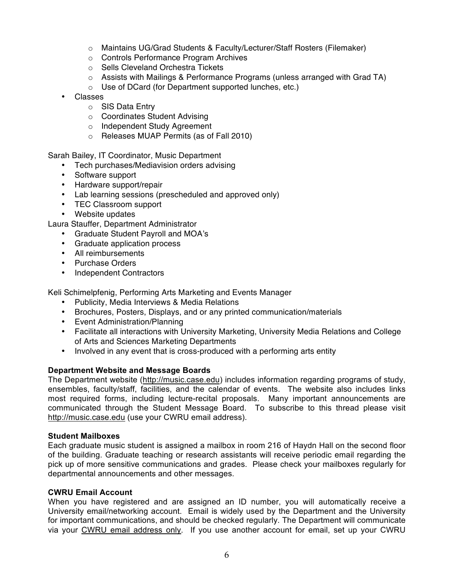- o Maintains UG/Grad Students & Faculty/Lecturer/Staff Rosters (Filemaker)
- o Controls Performance Program Archives
- o Sells Cleveland Orchestra Tickets
- $\circ$  Assists with Mailings & Performance Programs (unless arranged with Grad TA)
- o Use of DCard (for Department supported lunches, etc.)
- Classes
	- o SIS Data Entry
	- o Coordinates Student Advising
	- o Independent Study Agreement
	- o Releases MUAP Permits (as of Fall 2010)

Sarah Bailey, IT Coordinator, Music Department

- Tech purchases/Mediavision orders advising
- Software support
- Hardware support/repair
- Lab learning sessions (prescheduled and approved only)
- TEC Classroom support
- Website updates

Laura Stauffer, Department Administrator

- Graduate Student Payroll and MOA's
- Graduate application process
- All reimbursements
- Purchase Orders
- Independent Contractors

Keli Schimelpfenig, Performing Arts Marketing and Events Manager

- Publicity, Media Interviews & Media Relations
- Brochures, Posters, Displays, and or any printed communication/materials
- Event Administration/Planning
- Facilitate all interactions with University Marketing, University Media Relations and College of Arts and Sciences Marketing Departments
- Involved in any event that is cross-produced with a performing arts entity

# **Department Website and Message Boards**

The Department website (http://music.case.edu) includes information regarding programs of study, ensembles, faculty/staff, facilities, and the calendar of events. The website also includes links most required forms, including lecture-recital proposals. Many important announcements are communicated through the Student Message Board. To subscribe to this thread please visit http://music.case.edu (use your CWRU email address).

# **Student Mailboxes**

Each graduate music student is assigned a mailbox in room 216 of Haydn Hall on the second floor of the building. Graduate teaching or research assistants will receive periodic email regarding the pick up of more sensitive communications and grades. Please check your mailboxes regularly for departmental announcements and other messages.

# **CWRU Email Account**

When you have registered and are assigned an ID number, you will automatically receive a University email/networking account. Email is widely used by the Department and the University for important communications, and should be checked regularly. The Department will communicate via your CWRU email address only. If you use another account for email, set up your CWRU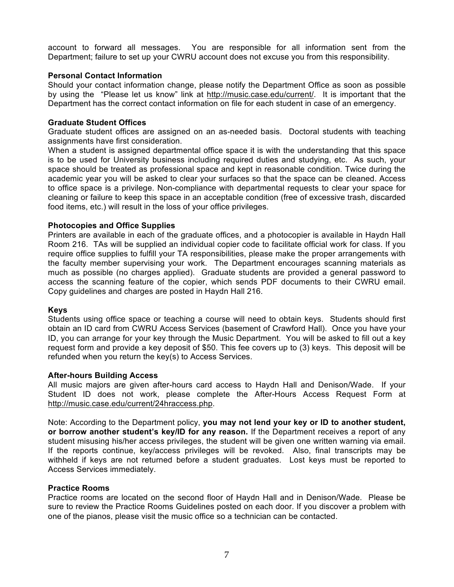account to forward all messages. You are responsible for all information sent from the Department; failure to set up your CWRU account does not excuse you from this responsibility.

# **Personal Contact Information**

Should your contact information change, please notify the Department Office as soon as possible by using the "Please let us know" link at http://music.case.edu/current/. It is important that the Department has the correct contact information on file for each student in case of an emergency.

## **Graduate Student Offices**

Graduate student offices are assigned on an as-needed basis. Doctoral students with teaching assignments have first consideration.

When a student is assigned departmental office space it is with the understanding that this space is to be used for University business including required duties and studying, etc. As such, your space should be treated as professional space and kept in reasonable condition. Twice during the academic year you will be asked to clear your surfaces so that the space can be cleaned. Access to office space is a privilege. Non-compliance with departmental requests to clear your space for cleaning or failure to keep this space in an acceptable condition (free of excessive trash, discarded food items, etc.) will result in the loss of your office privileges.

## **Photocopies and Office Supplies**

Printers are available in each of the graduate offices, and a photocopier is available in Haydn Hall Room 216. TAs will be supplied an individual copier code to facilitate official work for class. If you require office supplies to fulfill your TA responsibilities, please make the proper arrangements with the faculty member supervising your work. The Department encourages scanning materials as much as possible (no charges applied). Graduate students are provided a general password to access the scanning feature of the copier, which sends PDF documents to their CWRU email. Copy guidelines and charges are posted in Haydn Hall 216.

#### **Keys**

Students using office space or teaching a course will need to obtain keys. Students should first obtain an ID card from CWRU Access Services (basement of Crawford Hall). Once you have your ID, you can arrange for your key through the Music Department. You will be asked to fill out a key request form and provide a key deposit of \$50. This fee covers up to (3) keys. This deposit will be refunded when you return the key(s) to Access Services.

## **After-hours Building Access**

All music majors are given after-hours card access to Haydn Hall and Denison/Wade. If your Student ID does not work, please complete the After-Hours Access Request Form at http://music.case.edu/current/24hraccess.php.

Note: According to the Department policy, **you may not lend your key or ID to another student, or borrow another student's key/ID for any reason.** If the Department receives a report of any student misusing his/her access privileges, the student will be given one written warning via email. If the reports continue, key/access privileges will be revoked. Also, final transcripts may be withheld if keys are not returned before a student graduates. Lost keys must be reported to Access Services immediately.

#### **Practice Rooms**

Practice rooms are located on the second floor of Haydn Hall and in Denison/Wade. Please be sure to review the Practice Rooms Guidelines posted on each door. If you discover a problem with one of the pianos, please visit the music office so a technician can be contacted.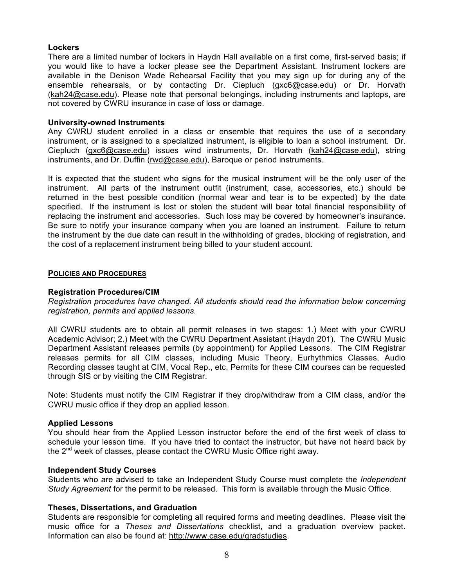# **Lockers**

There are a limited number of lockers in Haydn Hall available on a first come, first-served basis; if you would like to have a locker please see the Department Assistant. Instrument lockers are available in the Denison Wade Rehearsal Facility that you may sign up for during any of the ensemble rehearsals, or by contacting Dr. Ciepluch (gxc6@case.edu) or Dr. Horvath (kah24@case.edu). Please note that personal belongings, including instruments and laptops, are not covered by CWRU insurance in case of loss or damage.

#### **University-owned Instruments**

Any CWRU student enrolled in a class or ensemble that requires the use of a secondary instrument, or is assigned to a specialized instrument, is eligible to loan a school instrument. Dr. Ciepluch (gxc6@case.edu) issues wind instruments, Dr. Horvath (kah24@case.edu), string instruments, and Dr. Duffin (rwd@case.edu), Baroque or period instruments.

It is expected that the student who signs for the musical instrument will be the only user of the instrument. All parts of the instrument outfit (instrument, case, accessories, etc.) should be returned in the best possible condition (normal wear and tear is to be expected) by the date specified. If the instrument is lost or stolen the student will bear total financial responsibility of replacing the instrument and accessories. Such loss may be covered by homeowner's insurance. Be sure to notify your insurance company when you are loaned an instrument. Failure to return the instrument by the due date can result in the withholding of grades, blocking of registration, and the cost of a replacement instrument being billed to your student account.

#### **POLICIES AND PROCEDURES**

#### **Registration Procedures/CIM**

*Registration procedures have changed. All students should read the information below concerning registration, permits and applied lessons.* 

All CWRU students are to obtain all permit releases in two stages: 1.) Meet with your CWRU Academic Advisor; 2.) Meet with the CWRU Department Assistant (Haydn 201). The CWRU Music Department Assistant releases permits (by appointment) for Applied Lessons. The CIM Registrar releases permits for all CIM classes, including Music Theory, Eurhythmics Classes, Audio Recording classes taught at CIM, Vocal Rep., etc. Permits for these CIM courses can be requested through SIS or by visiting the CIM Registrar.

Note: Students must notify the CIM Registrar if they drop/withdraw from a CIM class, and/or the CWRU music office if they drop an applied lesson.

#### **Applied Lessons**

You should hear from the Applied Lesson instructor before the end of the first week of class to schedule your lesson time. If you have tried to contact the instructor, but have not heard back by the  $2^{nd}$  week of classes, please contact the CWRU Music Office right away.

#### **Independent Study Courses**

Students who are advised to take an Independent Study Course must complete the *Independent Study Agreement* for the permit to be released. This form is available through the Music Office.

#### **Theses, Dissertations, and Graduation**

Students are responsible for completing all required forms and meeting deadlines. Please visit the music office for a *Theses and Dissertations* checklist, and a graduation overview packet. Information can also be found at: http://www.case.edu/gradstudies.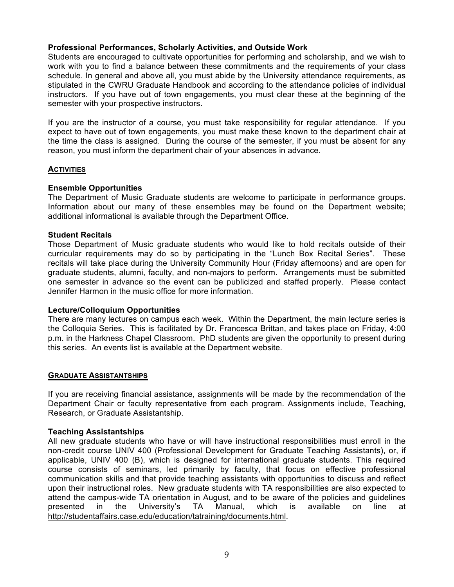# **Professional Performances, Scholarly Activities, and Outside Work**

Students are encouraged to cultivate opportunities for performing and scholarship, and we wish to work with you to find a balance between these commitments and the requirements of your class schedule. In general and above all, you must abide by the University attendance requirements, as stipulated in the CWRU Graduate Handbook and according to the attendance policies of individual instructors. If you have out of town engagements, you must clear these at the beginning of the semester with your prospective instructors.

If you are the instructor of a course, you must take responsibility for regular attendance. If you expect to have out of town engagements, you must make these known to the department chair at the time the class is assigned. During the course of the semester, if you must be absent for any reason, you must inform the department chair of your absences in advance.

#### **ACTIVITIES**

#### **Ensemble Opportunities**

The Department of Music Graduate students are welcome to participate in performance groups. Information about our many of these ensembles may be found on the Department website; additional informational is available through the Department Office.

#### **Student Recitals**

Those Department of Music graduate students who would like to hold recitals outside of their curricular requirements may do so by participating in the "Lunch Box Recital Series". These recitals will take place during the University Community Hour (Friday afternoons) and are open for graduate students, alumni, faculty, and non-majors to perform. Arrangements must be submitted one semester in advance so the event can be publicized and staffed properly. Please contact Jennifer Harmon in the music office for more information.

## **Lecture/Colloquium Opportunities**

There are many lectures on campus each week. Within the Department, the main lecture series is the Colloquia Series. This is facilitated by Dr. Francesca Brittan, and takes place on Friday, 4:00 p.m. in the Harkness Chapel Classroom. PhD students are given the opportunity to present during this series. An events list is available at the Department website.

#### **GRADUATE ASSISTANTSHIPS**

If you are receiving financial assistance, assignments will be made by the recommendation of the Department Chair or faculty representative from each program. Assignments include, Teaching, Research, or Graduate Assistantship.

#### **Teaching Assistantships**

All new graduate students who have or will have instructional responsibilities must enroll in the non-credit course UNIV 400 (Professional Development for Graduate Teaching Assistants), or, if applicable, UNIV 400 (B), which is designed for international graduate students. This required course consists of seminars, led primarily by faculty, that focus on effective professional communication skills and that provide teaching assistants with opportunities to discuss and reflect upon their instructional roles. New graduate students with TA responsibilities are also expected to attend the campus-wide TA orientation in August, and to be aware of the policies and guidelines presented in the University's TA Manual, which is available on line at http://studentaffairs.case.edu/education/tatraining/documents.html.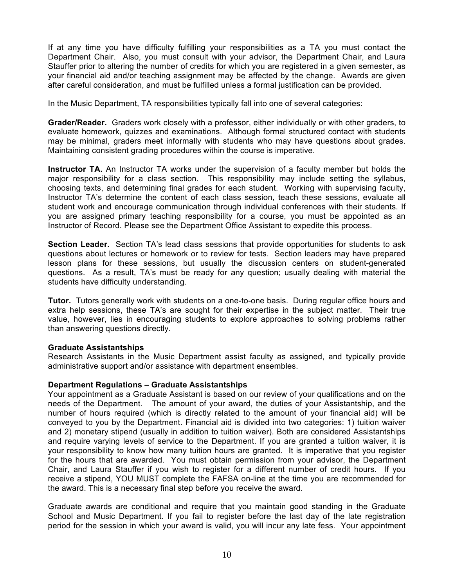If at any time you have difficulty fulfilling your responsibilities as a TA you must contact the Department Chair. Also, you must consult with your advisor, the Department Chair, and Laura Stauffer prior to altering the number of credits for which you are registered in a given semester, as your financial aid and/or teaching assignment may be affected by the change. Awards are given after careful consideration, and must be fulfilled unless a formal justification can be provided.

In the Music Department, TA responsibilities typically fall into one of several categories:

**Grader/Reader.** Graders work closely with a professor, either individually or with other graders, to evaluate homework, quizzes and examinations. Although formal structured contact with students may be minimal, graders meet informally with students who may have questions about grades. Maintaining consistent grading procedures within the course is imperative.

**Instructor TA.** An Instructor TA works under the supervision of a faculty member but holds the major responsibility for a class section. This responsibility may include setting the syllabus, choosing texts, and determining final grades for each student. Working with supervising faculty, Instructor TA's determine the content of each class session, teach these sessions, evaluate all student work and encourage communication through individual conferences with their students. If you are assigned primary teaching responsibility for a course, you must be appointed as an Instructor of Record. Please see the Department Office Assistant to expedite this process.

**Section Leader.** Section TA's lead class sessions that provide opportunities for students to ask questions about lectures or homework or to review for tests. Section leaders may have prepared lesson plans for these sessions, but usually the discussion centers on student-generated questions. As a result, TA's must be ready for any question; usually dealing with material the students have difficulty understanding.

**Tutor.** Tutors generally work with students on a one-to-one basis. During regular office hours and extra help sessions, these TA's are sought for their expertise in the subject matter. Their true value, however, lies in encouraging students to explore approaches to solving problems rather than answering questions directly.

#### **Graduate Assistantships**

Research Assistants in the Music Department assist faculty as assigned, and typically provide administrative support and/or assistance with department ensembles.

#### **Department Regulations – Graduate Assistantships**

Your appointment as a Graduate Assistant is based on our review of your qualifications and on the needs of the Department. The amount of your award, the duties of your Assistantship, and the number of hours required (which is directly related to the amount of your financial aid) will be conveyed to you by the Department. Financial aid is divided into two categories: 1) tuition waiver and 2) monetary stipend (usually in addition to tuition waiver). Both are considered Assistantships and require varying levels of service to the Department. If you are granted a tuition waiver, it is your responsibility to know how many tuition hours are granted. It is imperative that you register for the hours that are awarded. You must obtain permission from your advisor, the Department Chair, and Laura Stauffer if you wish to register for a different number of credit hours. If you receive a stipend, YOU MUST complete the FAFSA on-line at the time you are recommended for the award. This is a necessary final step before you receive the award.

Graduate awards are conditional and require that you maintain good standing in the Graduate School and Music Department. If you fail to register before the last day of the late registration period for the session in which your award is valid, you will incur any late fess. Your appointment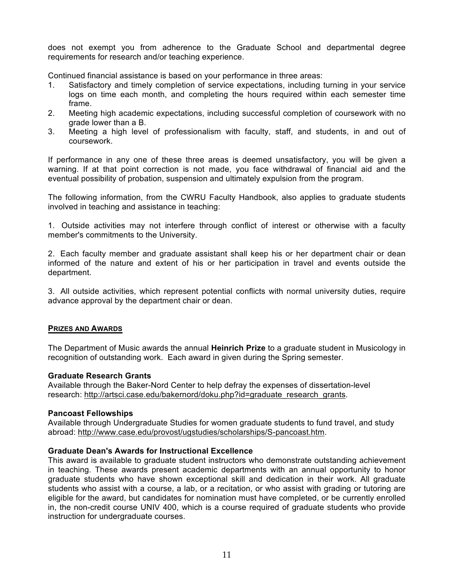does not exempt you from adherence to the Graduate School and departmental degree requirements for research and/or teaching experience.

Continued financial assistance is based on your performance in three areas:

- 1. Satisfactory and timely completion of service expectations, including turning in your service logs on time each month, and completing the hours required within each semester time frame.
- 2. Meeting high academic expectations, including successful completion of coursework with no grade lower than a B.
- 3. Meeting a high level of professionalism with faculty, staff, and students, in and out of coursework.

If performance in any one of these three areas is deemed unsatisfactory, you will be given a warning. If at that point correction is not made, you face withdrawal of financial aid and the eventual possibility of probation, suspension and ultimately expulsion from the program.

The following information, from the CWRU Faculty Handbook, also applies to graduate students involved in teaching and assistance in teaching:

1. Outside activities may not interfere through conflict of interest or otherwise with a faculty member's commitments to the University.

2. Each faculty member and graduate assistant shall keep his or her department chair or dean informed of the nature and extent of his or her participation in travel and events outside the department.

3. All outside activities, which represent potential conflicts with normal university duties, require advance approval by the department chair or dean.

#### **PRIZES AND AWARDS**

The Department of Music awards the annual **Heinrich Prize** to a graduate student in Musicology in recognition of outstanding work. Each award in given during the Spring semester.

#### **Graduate Research Grants**

Available through the Baker-Nord Center to help defray the expenses of dissertation-level research: http://artsci.case.edu/bakernord/doku.php?id=graduate\_research\_grants.

#### **Pancoast Fellowships**

Available through Undergraduate Studies for women graduate students to fund travel, and study abroad: http://www.case.edu/provost/ugstudies/scholarships/S-pancoast.htm.

# **Graduate Dean's Awards for Instructional Excellence**

This award is available to graduate student instructors who demonstrate outstanding achievement in teaching. These awards present academic departments with an annual opportunity to honor graduate students who have shown exceptional skill and dedication in their work. All graduate students who assist with a course, a lab, or a recitation, or who assist with grading or tutoring are eligible for the award, but candidates for nomination must have completed, or be currently enrolled in, the non-credit course UNIV 400, which is a course required of graduate students who provide instruction for undergraduate courses.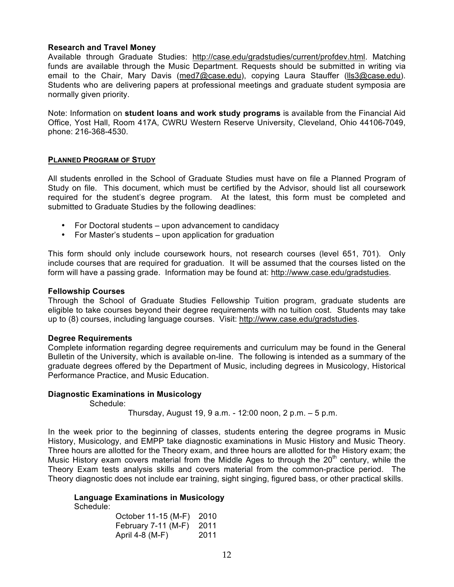## **Research and Travel Money**

Available through Graduate Studies: http://case.edu/gradstudies/current/profdev.html. Matching funds are available through the Music Department. Requests should be submitted in writing via email to the Chair, Mary Davis (med7@case.edu), copying Laura Stauffer (lls3@case.edu). Students who are delivering papers at professional meetings and graduate student symposia are normally given priority.

Note: Information on **student loans and work study programs** is available from the Financial Aid Office, Yost Hall, Room 417A, CWRU Western Reserve University, Cleveland, Ohio 44106-7049, phone: 216-368-4530.

#### **PLANNED PROGRAM OF STUDY**

All students enrolled in the School of Graduate Studies must have on file a Planned Program of Study on file. This document, which must be certified by the Advisor, should list all coursework required for the student's degree program. At the latest, this form must be completed and submitted to Graduate Studies by the following deadlines:

- For Doctoral students upon advancement to candidacy
- For Master's students upon application for graduation

This form should only include coursework hours, not research courses (level 651, 701). Only include courses that are required for graduation. It will be assumed that the courses listed on the form will have a passing grade. Information may be found at: http://www.case.edu/gradstudies.

#### **Fellowship Courses**

Through the School of Graduate Studies Fellowship Tuition program, graduate students are eligible to take courses beyond their degree requirements with no tuition cost. Students may take up to (8) courses, including language courses. Visit: http://www.case.edu/gradstudies.

#### **Degree Requirements**

Complete information regarding degree requirements and curriculum may be found in the General Bulletin of the University, which is available on-line. The following is intended as a summary of the graduate degrees offered by the Department of Music, including degrees in Musicology, Historical Performance Practice, and Music Education.

#### **Diagnostic Examinations in Musicology**

Schedule:

Thursday, August 19, 9 a.m. - 12:00 noon, 2 p.m. – 5 p.m.

In the week prior to the beginning of classes, students entering the degree programs in Music History, Musicology, and EMPP take diagnostic examinations in Music History and Music Theory. Three hours are allotted for the Theory exam, and three hours are allotted for the History exam; the Music History exam covers material from the Middle Ages to through the  $20<sup>th</sup>$  century, while the Theory Exam tests analysis skills and covers material from the common-practice period. The Theory diagnostic does not include ear training, sight singing, figured bass, or other practical skills.

#### **Language Examinations in Musicology**

Schedule:

| October 11-15 (M-F) | 2010 |
|---------------------|------|
| February 7-11 (M-F) | 2011 |
| April 4-8 (M-F)     | 2011 |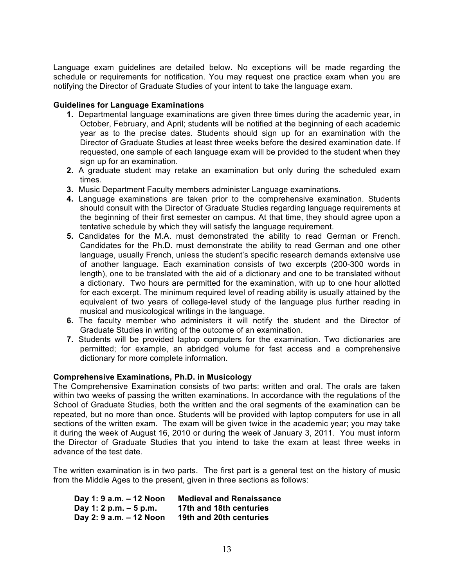Language exam guidelines are detailed below. No exceptions will be made regarding the schedule or requirements for notification. You may request one practice exam when you are notifying the Director of Graduate Studies of your intent to take the language exam.

## **Guidelines for Language Examinations**

- **1.** Departmental language examinations are given three times during the academic year, in October, February, and April; students will be notified at the beginning of each academic year as to the precise dates. Students should sign up for an examination with the Director of Graduate Studies at least three weeks before the desired examination date. If requested, one sample of each language exam will be provided to the student when they sign up for an examination.
- **2.** A graduate student may retake an examination but only during the scheduled exam times.
- **3.** Music Department Faculty members administer Language examinations.
- **4.** Language examinations are taken prior to the comprehensive examination. Students should consult with the Director of Graduate Studies regarding language requirements at the beginning of their first semester on campus. At that time, they should agree upon a tentative schedule by which they will satisfy the language requirement.
- **5.** Candidates for the M.A. must demonstrated the ability to read German or French. Candidates for the Ph.D. must demonstrate the ability to read German and one other language, usually French, unless the student's specific research demands extensive use of another language. Each examination consists of two excerpts (200-300 words in length), one to be translated with the aid of a dictionary and one to be translated without a dictionary. Two hours are permitted for the examination, with up to one hour allotted for each excerpt. The minimum required level of reading ability is usually attained by the equivalent of two years of college-level study of the language plus further reading in musical and musicological writings in the language.
- **6.** The faculty member who administers it will notify the student and the Director of Graduate Studies in writing of the outcome of an examination.
- **7.** Students will be provided laptop computers for the examination. Two dictionaries are permitted; for example, an abridged volume for fast access and a comprehensive dictionary for more complete information.

#### **Comprehensive Examinations, Ph.D. in Musicology**

The Comprehensive Examination consists of two parts: written and oral. The orals are taken within two weeks of passing the written examinations. In accordance with the regulations of the School of Graduate Studies, both the written and the oral segments of the examination can be repeated, but no more than once. Students will be provided with laptop computers for use in all sections of the written exam. The exam will be given twice in the academic year; you may take it during the week of August 16, 2010 or during the week of January 3, 2011. You must inform the Director of Graduate Studies that you intend to take the exam at least three weeks in advance of the test date.

The written examination is in two parts. The first part is a general test on the history of music from the Middle Ages to the present, given in three sections as follows:

| Day 1: 9 a.m. - 12 Noon | <b>Medieval and Renaissance</b> |
|-------------------------|---------------------------------|
| Day 1: 2 p.m. $-5$ p.m. | 17th and 18th centuries         |
| Day 2: 9 a.m. – 12 Noon | 19th and 20th centuries         |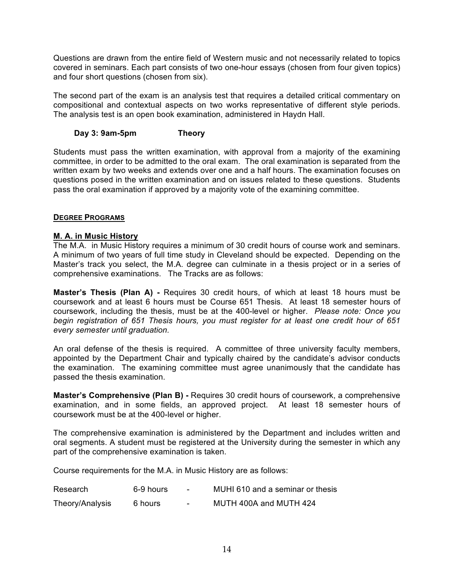Questions are drawn from the entire field of Western music and not necessarily related to topics covered in seminars. Each part consists of two one-hour essays (chosen from four given topics) and four short questions (chosen from six).

The second part of the exam is an analysis test that requires a detailed critical commentary on compositional and contextual aspects on two works representative of different style periods. The analysis test is an open book examination, administered in Haydn Hall.

# **Day 3: 9am-5pm Theory**

Students must pass the written examination, with approval from a majority of the examining committee, in order to be admitted to the oral exam. The oral examination is separated from the written exam by two weeks and extends over one and a half hours. The examination focuses on questions posed in the written examination and on issues related to these questions. Students pass the oral examination if approved by a majority vote of the examining committee.

# **DEGREE PROGRAMS**

# **M. A. in Music History**

The M.A. in Music History requires a minimum of 30 credit hours of course work and seminars. A minimum of two years of full time study in Cleveland should be expected. Depending on the Master's track you select, the M.A. degree can culminate in a thesis project or in a series of comprehensive examinations. The Tracks are as follows:

**Master's Thesis (Plan A) -** Requires 30 credit hours, of which at least 18 hours must be coursework and at least 6 hours must be Course 651 Thesis. At least 18 semester hours of coursework, including the thesis, must be at the 400-level or higher. *Please note: Once you begin registration of 651 Thesis hours, you must register for at least one credit hour of 651 every semester until graduation.*

An oral defense of the thesis is required. A committee of three university faculty members, appointed by the Department Chair and typically chaired by the candidate's advisor conducts the examination. The examining committee must agree unanimously that the candidate has passed the thesis examination.

**Master's Comprehensive (Plan B) -** Requires 30 credit hours of coursework, a comprehensive examination, and in some fields, an approved project. At least 18 semester hours of coursework must be at the 400-level or higher.

The comprehensive examination is administered by the Department and includes written and oral segments. A student must be registered at the University during the semester in which any part of the comprehensive examination is taken.

Course requirements for the M.A. in Music History are as follows:

| Research        | 6-9 hours | $\overline{\phantom{a}}$ | MUHI 610 and a seminar or thesis |
|-----------------|-----------|--------------------------|----------------------------------|
| Theory/Analysis | 6 hours   | $ -$                     | MUTH 400A and MUTH 424           |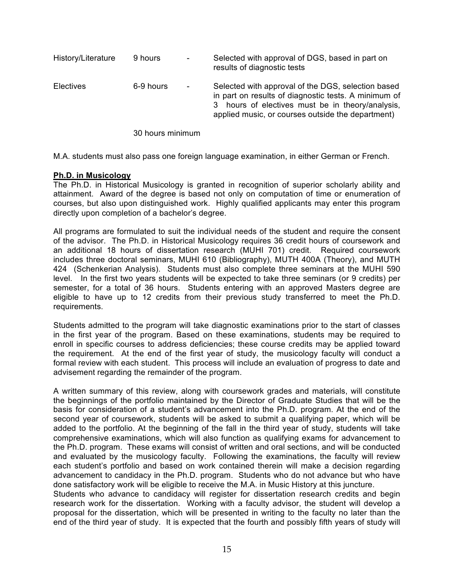| History/Literature | 9 hours   | $\overline{\phantom{a}}$ | Selected with approval of DGS, based in part on<br>results of diagnostic tests                                                                                                                                      |
|--------------------|-----------|--------------------------|---------------------------------------------------------------------------------------------------------------------------------------------------------------------------------------------------------------------|
| Electives          | 6-9 hours | $\overline{\phantom{a}}$ | Selected with approval of the DGS, selection based<br>in part on results of diagnostic tests. A minimum of<br>3 hours of electives must be in theory/analysis,<br>applied music, or courses outside the department) |

30 hours minimum

M.A. students must also pass one foreign language examination, in either German or French.

## **Ph.D. in Musicology**

The Ph.D. in Historical Musicology is granted in recognition of superior scholarly ability and attainment. Award of the degree is based not only on computation of time or enumeration of courses, but also upon distinguished work. Highly qualified applicants may enter this program directly upon completion of a bachelor's degree.

All programs are formulated to suit the individual needs of the student and require the consent of the advisor. The Ph.D. in Historical Musicology requires 36 credit hours of coursework and an additional 18 hours of dissertation research (MUHI 701) credit. Required coursework includes three doctoral seminars, MUHI 610 (Bibliography), MUTH 400A (Theory), and MUTH 424 (Schenkerian Analysis). Students must also complete three seminars at the MUHI 590 level. In the first two years students will be expected to take three seminars (or 9 credits) per semester, for a total of 36 hours. Students entering with an approved Masters degree are eligible to have up to 12 credits from their previous study transferred to meet the Ph.D. requirements.

Students admitted to the program will take diagnostic examinations prior to the start of classes in the first year of the program. Based on these examinations, students may be required to enroll in specific courses to address deficiencies; these course credits may be applied toward the requirement. At the end of the first year of study, the musicology faculty will conduct a formal review with each student. This process will include an evaluation of progress to date and advisement regarding the remainder of the program.

A written summary of this review, along with coursework grades and materials, will constitute the beginnings of the portfolio maintained by the Director of Graduate Studies that will be the basis for consideration of a student's advancement into the Ph.D. program. At the end of the second year of coursework, students will be asked to submit a qualifying paper, which will be added to the portfolio. At the beginning of the fall in the third year of study, students will take comprehensive examinations, which will also function as qualifying exams for advancement to the Ph.D. program. These exams will consist of written and oral sections, and will be conducted and evaluated by the musicology faculty. Following the examinations, the faculty will review each student's portfolio and based on work contained therein will make a decision regarding advancement to candidacy in the Ph.D. program. Students who do not advance but who have done satisfactory work will be eligible to receive the M.A. in Music History at this juncture.

Students who advance to candidacy will register for dissertation research credits and begin research work for the dissertation. Working with a faculty advisor, the student will develop a proposal for the dissertation, which will be presented in writing to the faculty no later than the end of the third year of study. It is expected that the fourth and possibly fifth years of study will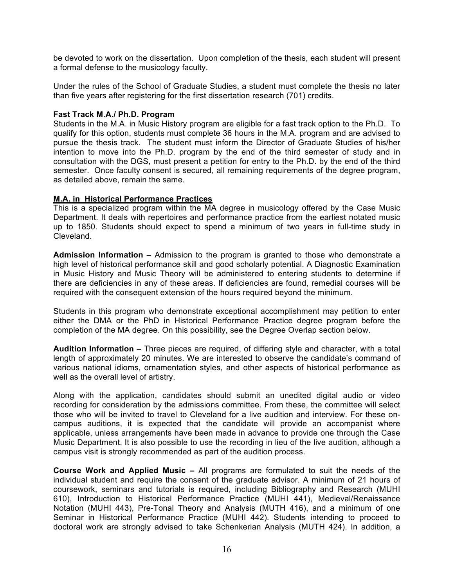be devoted to work on the dissertation. Upon completion of the thesis, each student will present a formal defense to the musicology faculty.

Under the rules of the School of Graduate Studies, a student must complete the thesis no later than five years after registering for the first dissertation research (701) credits.

## **Fast Track M.A./ Ph.D. Program**

Students in the M.A. in Music History program are eligible for a fast track option to the Ph.D. To qualify for this option, students must complete 36 hours in the M.A. program and are advised to pursue the thesis track. The student must inform the Director of Graduate Studies of his/her intention to move into the Ph.D. program by the end of the third semester of study and in consultation with the DGS, must present a petition for entry to the Ph.D. by the end of the third semester. Once faculty consent is secured, all remaining requirements of the degree program, as detailed above, remain the same.

## **M.A. in Historical Performance Practices**

This is a specialized program within the MA degree in musicology offered by the Case Music Department. It deals with repertoires and performance practice from the earliest notated music up to 1850. Students should expect to spend a minimum of two years in full-time study in Cleveland.

**Admission Information –** Admission to the program is granted to those who demonstrate a high level of historical performance skill and good scholarly potential. A Diagnostic Examination in Music History and Music Theory will be administered to entering students to determine if there are deficiencies in any of these areas. If deficiencies are found, remedial courses will be required with the consequent extension of the hours required beyond the minimum.

Students in this program who demonstrate exceptional accomplishment may petition to enter either the DMA or the PhD in Historical Performance Practice degree program before the completion of the MA degree. On this possibility, see the Degree Overlap section below.

**Audition Information –** Three pieces are required, of differing style and character, with a total length of approximately 20 minutes. We are interested to observe the candidate's command of various national idioms, ornamentation styles, and other aspects of historical performance as well as the overall level of artistry.

Along with the application, candidates should submit an unedited digital audio or video recording for consideration by the admissions committee. From these, the committee will select those who will be invited to travel to Cleveland for a live audition and interview. For these oncampus auditions, it is expected that the candidate will provide an accompanist where applicable, unless arrangements have been made in advance to provide one through the Case Music Department. It is also possible to use the recording in lieu of the live audition, although a campus visit is strongly recommended as part of the audition process.

**Course Work and Applied Music –** All programs are formulated to suit the needs of the individual student and require the consent of the graduate advisor. A minimum of 21 hours of coursework, seminars and tutorials is required, including Bibliography and Research (MUHI 610), Introduction to Historical Performance Practice (MUHI 441), Medieval/Renaissance Notation (MUHI 443), Pre-Tonal Theory and Analysis (MUTH 416), and a minimum of one Seminar in Historical Performance Practice (MUHI 442). Students intending to proceed to doctoral work are strongly advised to take Schenkerian Analysis (MUTH 424). In addition, a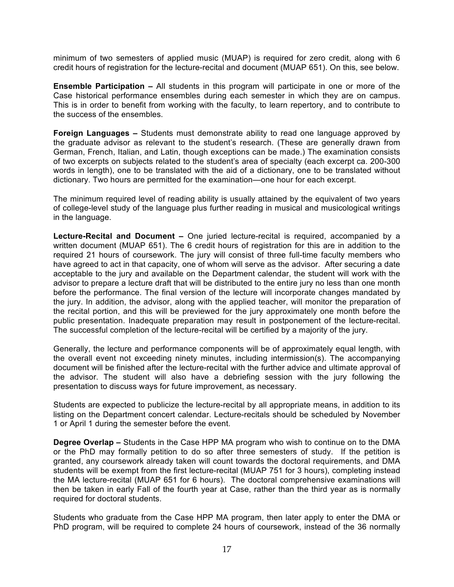minimum of two semesters of applied music (MUAP) is required for zero credit, along with 6 credit hours of registration for the lecture-recital and document (MUAP 651). On this, see below.

**Ensemble Participation –** All students in this program will participate in one or more of the Case historical performance ensembles during each semester in which they are on campus. This is in order to benefit from working with the faculty, to learn repertory, and to contribute to the success of the ensembles.

**Foreign Languages –** Students must demonstrate ability to read one language approved by the graduate advisor as relevant to the student's research. (These are generally drawn from German, French, Italian, and Latin, though exceptions can be made.) The examination consists of two excerpts on subjects related to the student's area of specialty (each excerpt ca. 200-300 words in length), one to be translated with the aid of a dictionary, one to be translated without dictionary. Two hours are permitted for the examination—one hour for each excerpt.

The minimum required level of reading ability is usually attained by the equivalent of two years of college-level study of the language plus further reading in musical and musicological writings in the language.

**Lecture-Recital and Document –** One juried lecture-recital is required, accompanied by a written document (MUAP 651). The 6 credit hours of registration for this are in addition to the required 21 hours of coursework. The jury will consist of three full-time faculty members who have agreed to act in that capacity, one of whom will serve as the advisor. After securing a date acceptable to the jury and available on the Department calendar, the student will work with the advisor to prepare a lecture draft that will be distributed to the entire jury no less than one month before the performance. The final version of the lecture will incorporate changes mandated by the jury. In addition, the advisor, along with the applied teacher, will monitor the preparation of the recital portion, and this will be previewed for the jury approximately one month before the public presentation. Inadequate preparation may result in postponement of the lecture-recital. The successful completion of the lecture-recital will be certified by a majority of the jury.

Generally, the lecture and performance components will be of approximately equal length, with the overall event not exceeding ninety minutes, including intermission(s). The accompanying document will be finished after the lecture-recital with the further advice and ultimate approval of the advisor. The student will also have a debriefing session with the jury following the presentation to discuss ways for future improvement, as necessary.

Students are expected to publicize the lecture-recital by all appropriate means, in addition to its listing on the Department concert calendar. Lecture-recitals should be scheduled by November 1 or April 1 during the semester before the event.

**Degree Overlap –** Students in the Case HPP MA program who wish to continue on to the DMA or the PhD may formally petition to do so after three semesters of study. If the petition is granted, any coursework already taken will count towards the doctoral requirements, and DMA students will be exempt from the first lecture-recital (MUAP 751 for 3 hours), completing instead the MA lecture-recital (MUAP 651 for 6 hours). The doctoral comprehensive examinations will then be taken in early Fall of the fourth year at Case, rather than the third year as is normally required for doctoral students.

Students who graduate from the Case HPP MA program, then later apply to enter the DMA or PhD program, will be required to complete 24 hours of coursework, instead of the 36 normally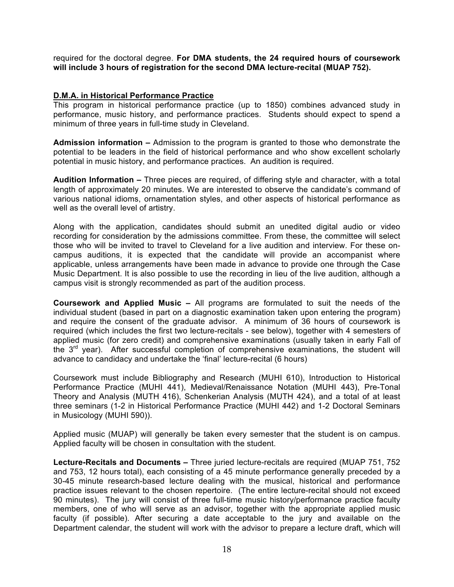required for the doctoral degree. **For DMA students, the 24 required hours of coursework will include 3 hours of registration for the second DMA lecture-recital (MUAP 752).** 

## **D.M.A. in Historical Performance Practice**

This program in historical performance practice (up to 1850) combines advanced study in performance, music history, and performance practices. Students should expect to spend a minimum of three years in full-time study in Cleveland.

**Admission information –** Admission to the program is granted to those who demonstrate the potential to be leaders in the field of historical performance and who show excellent scholarly potential in music history, and performance practices. An audition is required.

**Audition Information –** Three pieces are required, of differing style and character, with a total length of approximately 20 minutes. We are interested to observe the candidate's command of various national idioms, ornamentation styles, and other aspects of historical performance as well as the overall level of artistry.

Along with the application, candidates should submit an unedited digital audio or video recording for consideration by the admissions committee. From these, the committee will select those who will be invited to travel to Cleveland for a live audition and interview. For these oncampus auditions, it is expected that the candidate will provide an accompanist where applicable, unless arrangements have been made in advance to provide one through the Case Music Department. It is also possible to use the recording in lieu of the live audition, although a campus visit is strongly recommended as part of the audition process.

**Coursework and Applied Music –** All programs are formulated to suit the needs of the individual student (based in part on a diagnostic examination taken upon entering the program) and require the consent of the graduate advisor. A minimum of 36 hours of coursework is required (which includes the first two lecture-recitals - see below), together with 4 semesters of applied music (for zero credit) and comprehensive examinations (usually taken in early Fall of the 3<sup>rd</sup> year). After successful completion of comprehensive examinations, the student will advance to candidacy and undertake the 'final' lecture-recital (6 hours)

Coursework must include Bibliography and Research (MUHI 610), Introduction to Historical Performance Practice (MUHI 441), Medieval/Renaissance Notation (MUHI 443), Pre-Tonal Theory and Analysis (MUTH 416), Schenkerian Analysis (MUTH 424), and a total of at least three seminars (1-2 in Historical Performance Practice (MUHI 442) and 1-2 Doctoral Seminars in Musicology (MUHI 590)).

Applied music (MUAP) will generally be taken every semester that the student is on campus. Applied faculty will be chosen in consultation with the student.

**Lecture-Recitals and Documents –** Three juried lecture-recitals are required (MUAP 751, 752 and 753, 12 hours total), each consisting of a 45 minute performance generally preceded by a 30-45 minute research-based lecture dealing with the musical, historical and performance practice issues relevant to the chosen repertoire. (The entire lecture-recital should not exceed 90 minutes). The jury will consist of three full-time music history/performance practice faculty members, one of who will serve as an advisor, together with the appropriate applied music faculty (if possible). After securing a date acceptable to the jury and available on the Department calendar, the student will work with the advisor to prepare a lecture draft, which will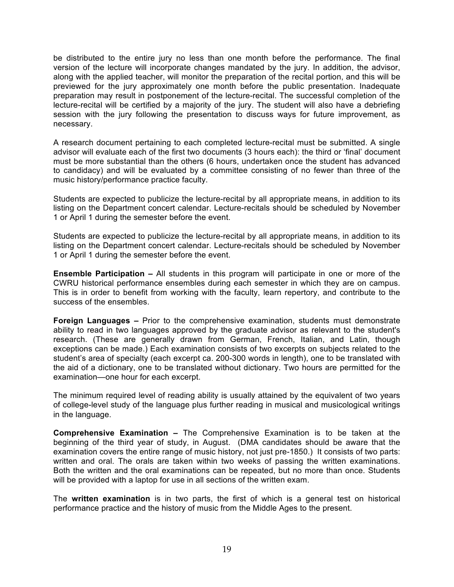be distributed to the entire jury no less than one month before the performance. The final version of the lecture will incorporate changes mandated by the jury. In addition, the advisor, along with the applied teacher, will monitor the preparation of the recital portion, and this will be previewed for the jury approximately one month before the public presentation. Inadequate preparation may result in postponement of the lecture-recital. The successful completion of the lecture-recital will be certified by a majority of the jury. The student will also have a debriefing session with the jury following the presentation to discuss ways for future improvement, as necessary.

A research document pertaining to each completed lecture-recital must be submitted. A single advisor will evaluate each of the first two documents (3 hours each): the third or 'final' document must be more substantial than the others (6 hours, undertaken once the student has advanced to candidacy) and will be evaluated by a committee consisting of no fewer than three of the music history/performance practice faculty.

Students are expected to publicize the lecture-recital by all appropriate means, in addition to its listing on the Department concert calendar. Lecture-recitals should be scheduled by November 1 or April 1 during the semester before the event.

Students are expected to publicize the lecture-recital by all appropriate means, in addition to its listing on the Department concert calendar. Lecture-recitals should be scheduled by November 1 or April 1 during the semester before the event.

**Ensemble Participation –** All students in this program will participate in one or more of the CWRU historical performance ensembles during each semester in which they are on campus. This is in order to benefit from working with the faculty, learn repertory, and contribute to the success of the ensembles.

**Foreign Languages –** Prior to the comprehensive examination, students must demonstrate ability to read in two languages approved by the graduate advisor as relevant to the student's research. (These are generally drawn from German, French, Italian, and Latin, though exceptions can be made.) Each examination consists of two excerpts on subjects related to the student's area of specialty (each excerpt ca. 200-300 words in length), one to be translated with the aid of a dictionary, one to be translated without dictionary. Two hours are permitted for the examination—one hour for each excerpt.

The minimum required level of reading ability is usually attained by the equivalent of two years of college-level study of the language plus further reading in musical and musicological writings in the language.

**Comprehensive Examination –** The Comprehensive Examination is to be taken at the beginning of the third year of study, in August. (DMA candidates should be aware that the examination covers the entire range of music history, not just pre-1850.) It consists of two parts: written and oral. The orals are taken within two weeks of passing the written examinations. Both the written and the oral examinations can be repeated, but no more than once. Students will be provided with a laptop for use in all sections of the written exam.

The **written examination** is in two parts, the first of which is a general test on historical performance practice and the history of music from the Middle Ages to the present.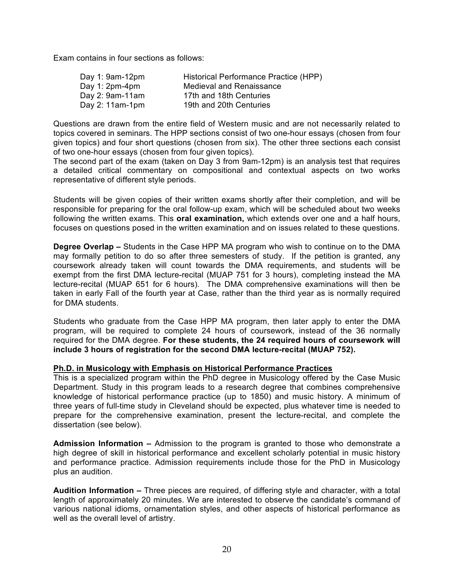Exam contains in four sections as follows:

| Day 1: $9am-12pm$ | Historical Performance Practice (HPP) |
|-------------------|---------------------------------------|
| Day 1: $2pm-4pm$  | Medieval and Renaissance              |
| Day 2: 9am-11am   | 17th and 18th Centuries               |
| Day 2: $11am-1pm$ | 19th and 20th Centuries               |

Questions are drawn from the entire field of Western music and are not necessarily related to topics covered in seminars. The HPP sections consist of two one-hour essays (chosen from four given topics) and four short questions (chosen from six). The other three sections each consist of two one-hour essays (chosen from four given topics).

The second part of the exam (taken on Day 3 from 9am-12pm) is an analysis test that requires a detailed critical commentary on compositional and contextual aspects on two works representative of different style periods.

Students will be given copies of their written exams shortly after their completion, and will be responsible for preparing for the oral follow-up exam, which will be scheduled about two weeks following the written exams. This **oral examination,** which extends over one and a half hours, focuses on questions posed in the written examination and on issues related to these questions.

**Degree Overlap –** Students in the Case HPP MA program who wish to continue on to the DMA may formally petition to do so after three semesters of study. If the petition is granted, any coursework already taken will count towards the DMA requirements, and students will be exempt from the first DMA lecture-recital (MUAP 751 for 3 hours), completing instead the MA lecture-recital (MUAP 651 for 6 hours). The DMA comprehensive examinations will then be taken in early Fall of the fourth year at Case, rather than the third year as is normally required for DMA students.

Students who graduate from the Case HPP MA program, then later apply to enter the DMA program, will be required to complete 24 hours of coursework, instead of the 36 normally required for the DMA degree. **For these students, the 24 required hours of coursework will include 3 hours of registration for the second DMA lecture-recital (MUAP 752).** 

#### **Ph.D. in Musicology with Emphasis on Historical Performance Practices**

This is a specialized program within the PhD degree in Musicology offered by the Case Music Department. Study in this program leads to a research degree that combines comprehensive knowledge of historical performance practice (up to 1850) and music history. A minimum of three years of full-time study in Cleveland should be expected, plus whatever time is needed to prepare for the comprehensive examination, present the lecture-recital, and complete the dissertation (see below).

**Admission Information –** Admission to the program is granted to those who demonstrate a high degree of skill in historical performance and excellent scholarly potential in music history and performance practice. Admission requirements include those for the PhD in Musicology plus an audition.

**Audition Information –** Three pieces are required, of differing style and character, with a total length of approximately 20 minutes. We are interested to observe the candidate's command of various national idioms, ornamentation styles, and other aspects of historical performance as well as the overall level of artistry.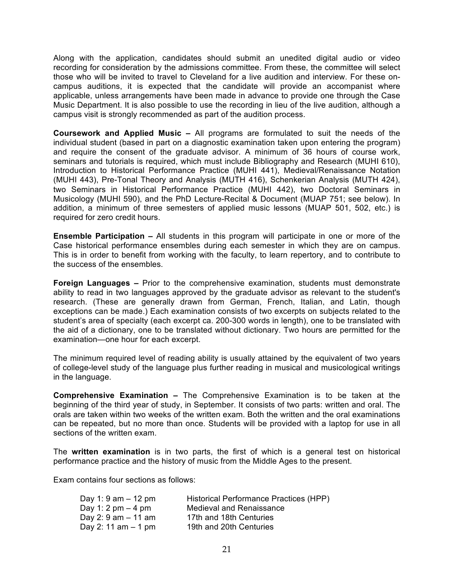Along with the application, candidates should submit an unedited digital audio or video recording for consideration by the admissions committee. From these, the committee will select those who will be invited to travel to Cleveland for a live audition and interview. For these oncampus auditions, it is expected that the candidate will provide an accompanist where applicable, unless arrangements have been made in advance to provide one through the Case Music Department. It is also possible to use the recording in lieu of the live audition, although a campus visit is strongly recommended as part of the audition process.

**Coursework and Applied Music –** All programs are formulated to suit the needs of the individual student (based in part on a diagnostic examination taken upon entering the program) and require the consent of the graduate advisor. A minimum of 36 hours of course work, seminars and tutorials is required, which must include Bibliography and Research (MUHI 610), Introduction to Historical Performance Practice (MUHI 441), Medieval/Renaissance Notation (MUHI 443), Pre-Tonal Theory and Analysis (MUTH 416), Schenkerian Analysis (MUTH 424), two Seminars in Historical Performance Practice (MUHI 442), two Doctoral Seminars in Musicology (MUHI 590), and the PhD Lecture-Recital & Document (MUAP 751; see below). In addition, a minimum of three semesters of applied music lessons (MUAP 501, 502, etc.) is required for zero credit hours.

**Ensemble Participation –** All students in this program will participate in one or more of the Case historical performance ensembles during each semester in which they are on campus. This is in order to benefit from working with the faculty, to learn repertory, and to contribute to the success of the ensembles.

**Foreign Languages –** Prior to the comprehensive examination, students must demonstrate ability to read in two languages approved by the graduate advisor as relevant to the student's research. (These are generally drawn from German, French, Italian, and Latin, though exceptions can be made.) Each examination consists of two excerpts on subjects related to the student's area of specialty (each excerpt ca. 200-300 words in length), one to be translated with the aid of a dictionary, one to be translated without dictionary. Two hours are permitted for the examination—one hour for each excerpt.

The minimum required level of reading ability is usually attained by the equivalent of two years of college-level study of the language plus further reading in musical and musicological writings in the language.

**Comprehensive Examination –** The Comprehensive Examination is to be taken at the beginning of the third year of study, in September. It consists of two parts: written and oral. The orals are taken within two weeks of the written exam. Both the written and the oral examinations can be repeated, but no more than once. Students will be provided with a laptop for use in all sections of the written exam.

The **written examination** is in two parts, the first of which is a general test on historical performance practice and the history of music from the Middle Ages to the present.

Exam contains four sections as follows:

| Day 1: 9 am $-$ 12 pm                 | Historical Performance Practices (HPP) |
|---------------------------------------|----------------------------------------|
| Day 1: 2 pm $-$ 4 pm                  | Medieval and Renaissance               |
| Day 2: $9 \text{ am} - 11 \text{ am}$ | 17th and 18th Centuries                |
| Day 2: 11 am $-$ 1 pm                 | 19th and 20th Centuries                |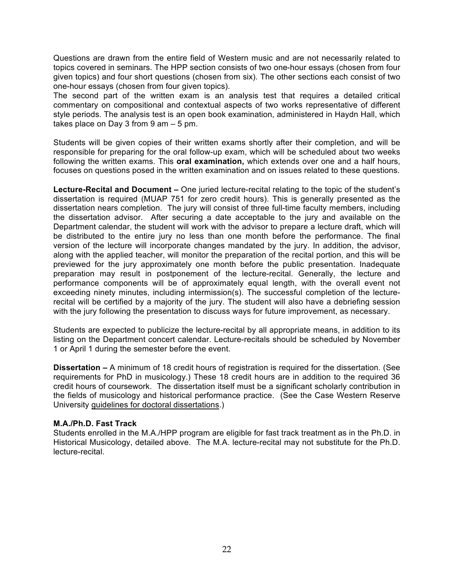Questions are drawn from the entire field of Western music and are not necessarily related to topics covered in seminars. The HPP section consists of two one-hour essays (chosen from four given topics) and four short questions (chosen from six). The other sections each consist of two one-hour essays (chosen from four given topics).

The second part of the written exam is an analysis test that requires a detailed critical commentary on compositional and contextual aspects of two works representative of different style periods. The analysis test is an open book examination, administered in Haydn Hall, which takes place on Day 3 from  $9$  am  $-5$  pm.

Students will be given copies of their written exams shortly after their completion, and will be responsible for preparing for the oral follow-up exam, which will be scheduled about two weeks following the written exams. This **oral examination,** which extends over one and a half hours, focuses on questions posed in the written examination and on issues related to these questions.

**Lecture-Recital and Document –** One juried lecture-recital relating to the topic of the student's dissertation is required (MUAP 751 for zero credit hours). This is generally presented as the dissertation nears completion. The jury will consist of three full-time faculty members, including the dissertation advisor. After securing a date acceptable to the jury and available on the Department calendar, the student will work with the advisor to prepare a lecture draft, which will be distributed to the entire jury no less than one month before the performance. The final version of the lecture will incorporate changes mandated by the jury. In addition, the advisor, along with the applied teacher, will monitor the preparation of the recital portion, and this will be previewed for the jury approximately one month before the public presentation. Inadequate preparation may result in postponement of the lecture-recital. Generally, the lecture and performance components will be of approximately equal length, with the overall event not exceeding ninety minutes, including intermission(s). The successful completion of the lecturerecital will be certified by a majority of the jury. The student will also have a debriefing session with the jury following the presentation to discuss ways for future improvement, as necessary.

Students are expected to publicize the lecture-recital by all appropriate means, in addition to its listing on the Department concert calendar. Lecture-recitals should be scheduled by November 1 or April 1 during the semester before the event.

**Dissertation –** A minimum of 18 credit hours of registration is required for the dissertation. (See requirements for PhD in musicology.) These 18 credit hours are in addition to the required 36 credit hours of coursework. The dissertation itself must be a significant scholarly contribution in the fields of musicology and historical performance practice. (See the Case Western Reserve University guidelines for doctoral dissertations.)

#### **M.A./Ph.D. Fast Track**

Students enrolled in the M.A./HPP program are eligible for fast track treatment as in the Ph.D. in Historical Musicology, detailed above. The M.A. lecture-recital may not substitute for the Ph.D. lecture-recital.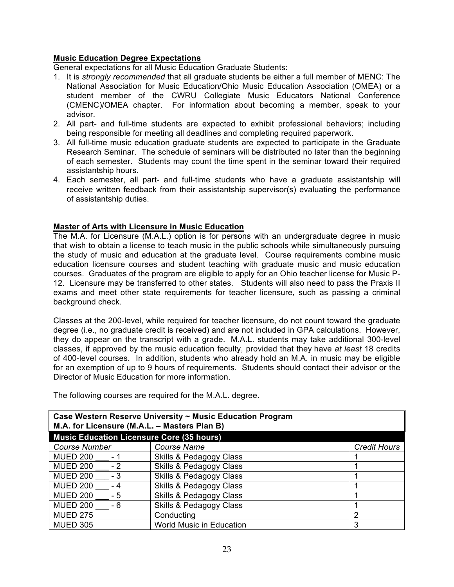# **Music Education Degree Expectations**

General expectations for all Music Education Graduate Students:

- 1. It is *strongly recommended* that all graduate students be either a full member of MENC: The National Association for Music Education/Ohio Music Education Association (OMEA) or a student member of the CWRU Collegiate Music Educators National Conference (CMENC)/OMEA chapter. For information about becoming a member, speak to your advisor.
- 2. All part- and full-time students are expected to exhibit professional behaviors; including being responsible for meeting all deadlines and completing required paperwork.
- 3. All full-time music education graduate students are expected to participate in the Graduate Research Seminar. The schedule of seminars will be distributed no later than the beginning of each semester. Students may count the time spent in the seminar toward their required assistantship hours.
- 4. Each semester, all part- and full-time students who have a graduate assistantship will receive written feedback from their assistantship supervisor(s) evaluating the performance of assistantship duties.

# **Master of Arts with Licensure in Music Education**

The M.A. for Licensure (M.A.L.) option is for persons with an undergraduate degree in music that wish to obtain a license to teach music in the public schools while simultaneously pursuing the study of music and education at the graduate level. Course requirements combine music education licensure courses and student teaching with graduate music and music education courses. Graduates of the program are eligible to apply for an Ohio teacher license for Music P-12. Licensure may be transferred to other states. Students will also need to pass the Praxis II exams and meet other state requirements for teacher licensure, such as passing a criminal background check.

Classes at the 200-level, while required for teacher licensure, do not count toward the graduate degree (i.e., no graduate credit is received) and are not included in GPA calculations. However, they do appear on the transcript with a grade. M.A.L. students may take additional 300-level classes, if approved by the music education faculty, provided that they have *at least* 18 credits of 400-level courses. In addition, students who already hold an M.A. in music may be eligible for an exemption of up to 9 hours of requirements. Students should contact their advisor or the Director of Music Education for more information.

| Case Western Reserve University ~ Music Education Program<br>M.A. for Licensure (M.A.L. - Masters Plan B) |                                    |                     |  |  |
|-----------------------------------------------------------------------------------------------------------|------------------------------------|---------------------|--|--|
| Music Education Licensure Core (35 hours)                                                                 |                                    |                     |  |  |
| <b>Course Number</b>                                                                                      | <b>Course Name</b>                 | <b>Credit Hours</b> |  |  |
| <b>MUED 200</b><br>- 1                                                                                    | <b>Skills &amp; Pedagogy Class</b> |                     |  |  |
| <b>MUED 200</b><br>$-2$                                                                                   | <b>Skills &amp; Pedagogy Class</b> |                     |  |  |
| <b>MUED 200</b><br>- 3                                                                                    | <b>Skills &amp; Pedagogy Class</b> |                     |  |  |
| <b>MUED 200</b><br>- 4                                                                                    | <b>Skills &amp; Pedagogy Class</b> |                     |  |  |
| <b>MUED 200</b><br>- 5                                                                                    | <b>Skills &amp; Pedagogy Class</b> |                     |  |  |
| <b>MUED 200</b><br>- 6                                                                                    | <b>Skills &amp; Pedagogy Class</b> |                     |  |  |
| <b>MUED 275</b>                                                                                           | Conducting                         | $\overline{2}$      |  |  |
| <b>MUED 305</b>                                                                                           | World Music in Education           | 3                   |  |  |

The following courses are required for the M.A.L. degree.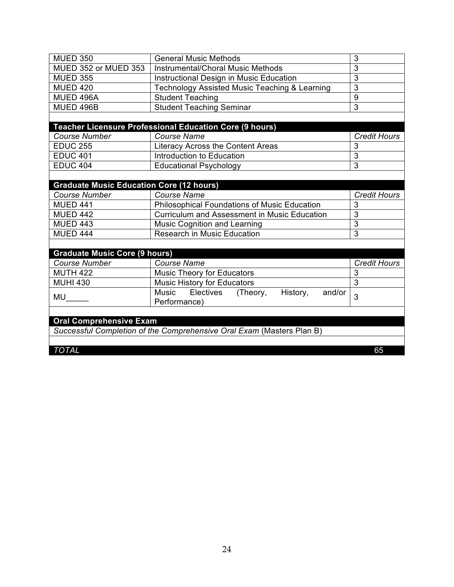| <b>MUED 350</b>                                 | <b>General Music Methods</b>                                          | 3                   |
|-------------------------------------------------|-----------------------------------------------------------------------|---------------------|
| MUED 352 or MUED 353                            | Instrumental/Choral Music Methods                                     | 3                   |
| <b>MUED 355</b>                                 | Instructional Design in Music Education                               | $\overline{3}$      |
| <b>MUED 420</b>                                 | <b>Technology Assisted Music Teaching &amp; Learning</b>              | 3                   |
| MUED 496A                                       | <b>Student Teaching</b>                                               | 9                   |
| MUED 496B                                       | <b>Student Teaching Seminar</b>                                       | 3                   |
|                                                 |                                                                       |                     |
|                                                 | Teacher Licensure Professional Education Core (9 hours)               |                     |
| <b>Course Number</b>                            | Course Name                                                           | <b>Credit Hours</b> |
| <b>EDUC 255</b>                                 | Literacy Across the Content Areas                                     | 3                   |
| <b>EDUC 401</b>                                 | Introduction to Education                                             | $\overline{3}$      |
| <b>EDUC 404</b>                                 | <b>Educational Psychology</b>                                         | 3                   |
|                                                 |                                                                       |                     |
| <b>Graduate Music Education Core (12 hours)</b> |                                                                       |                     |
| <b>Course Number</b>                            | <b>Course Name</b>                                                    | <b>Credit Hours</b> |
| <b>MUED 441</b>                                 | <b>Philosophical Foundations of Music Education</b>                   | 3                   |
| <b>MUED 442</b>                                 | <b>Curriculum and Assessment in Music Education</b>                   | 3                   |
| <b>MUED 443</b>                                 | Music Cognition and Learning                                          | $\overline{3}$      |
| <b>MUED 444</b>                                 | <b>Research in Music Education</b>                                    | 3                   |
|                                                 |                                                                       |                     |
| <b>Graduate Music Core (9 hours)</b>            |                                                                       |                     |
| <b>Course Number</b>                            | <b>Course Name</b>                                                    | <b>Credit Hours</b> |
| <b>MUTH 422</b>                                 | <b>Music Theory for Educators</b>                                     | 3                   |
| <b>MUHI 430</b>                                 | Music History for Educators                                           | 3                   |
|                                                 | Music Electives (Theory,<br>History,<br>and/or                        | 3                   |
| MU                                              | Performance)                                                          |                     |
|                                                 |                                                                       |                     |
| <b>Oral Comprehensive Exam</b>                  |                                                                       |                     |
|                                                 | Successful Completion of the Comprehensive Oral Exam (Masters Plan B) |                     |
|                                                 |                                                                       |                     |
| <b>TOTAL</b>                                    |                                                                       | 65                  |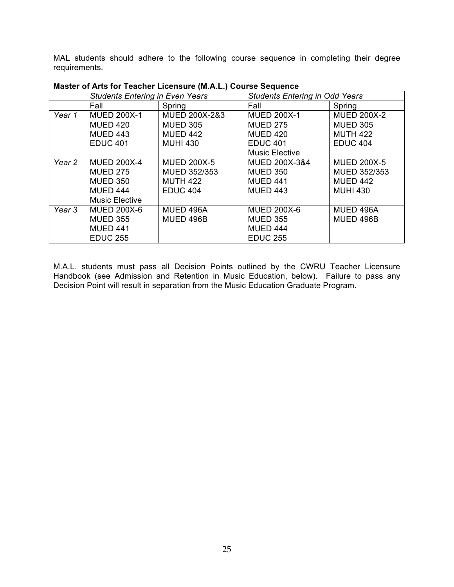MAL students should adhere to the following course sequence in completing their degree requirements.

|        | <b>Students Entering in Even Years</b> |                    | <b>Students Entering in Odd Years</b> |                    |
|--------|----------------------------------------|--------------------|---------------------------------------|--------------------|
|        | Fall                                   | Spring             | Fall                                  | Spring             |
| Year 1 | <b>MUED 200X-1</b>                     | MUED 200X-2&3      | <b>MUED 200X-1</b>                    | <b>MUED 200X-2</b> |
|        | <b>MUED 420</b>                        | <b>MUED 305</b>    | <b>MUED 275</b>                       | <b>MUED 305</b>    |
|        | <b>MUED 443</b>                        | <b>MUED 442</b>    | <b>MUED 420</b>                       | <b>MUTH 422</b>    |
|        | <b>EDUC 401</b>                        | <b>MUHI 430</b>    | <b>EDUC 401</b>                       | <b>EDUC 404</b>    |
|        |                                        |                    | <b>Music Elective</b>                 |                    |
| Year 2 | <b>MUED 200X-4</b>                     | <b>MUED 200X-5</b> | <b>MUED 200X-3&amp;4</b>              | <b>MUED 200X-5</b> |
|        | <b>MUED 275</b>                        | MUED 352/353       | <b>MUED 350</b>                       | MUED 352/353       |
|        | <b>MUED 350</b>                        | <b>MUTH 422</b>    | <b>MUED 441</b>                       | <b>MUED 442</b>    |
|        | <b>MUED 444</b>                        | <b>EDUC 404</b>    | <b>MUED 443</b>                       | <b>MUHI 430</b>    |
|        | <b>Music Elective</b>                  |                    |                                       |                    |
| Year 3 | <b>MUED 200X-6</b>                     | MUED 496A          | <b>MUED 200X-6</b>                    | MUED 496A          |
|        | <b>MUED 355</b>                        | MUED 496B          | <b>MUED 355</b>                       | MUED 496B          |
|        | <b>MUED 441</b>                        |                    | <b>MUED 444</b>                       |                    |
|        | <b>EDUC 255</b>                        |                    | <b>EDUC 255</b>                       |                    |

**Master of Arts for Teacher Licensure (M.A.L.) Course Sequence**

M.A.L. students must pass all Decision Points outlined by the CWRU Teacher Licensure Handbook (see Admission and Retention in Music Education, below). Failure to pass any Decision Point will result in separation from the Music Education Graduate Program.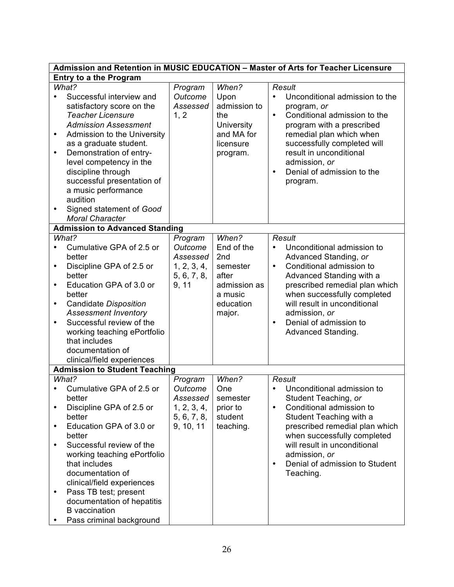| Admission and Retention in MUSIC EDUCATION - Master of Arts for Teacher Licensure                                                                                                                                                                                                                                                                                                                                    |                                                                           |                                                                                                   |                                                                                                                                                                                                                                                                                                                                |  |
|----------------------------------------------------------------------------------------------------------------------------------------------------------------------------------------------------------------------------------------------------------------------------------------------------------------------------------------------------------------------------------------------------------------------|---------------------------------------------------------------------------|---------------------------------------------------------------------------------------------------|--------------------------------------------------------------------------------------------------------------------------------------------------------------------------------------------------------------------------------------------------------------------------------------------------------------------------------|--|
| <b>Entry to a the Program</b>                                                                                                                                                                                                                                                                                                                                                                                        |                                                                           |                                                                                                   |                                                                                                                                                                                                                                                                                                                                |  |
| What?<br>Successful interview and<br>satisfactory score on the<br><b>Teacher Licensure</b><br><b>Admission Assessment</b><br>Admission to the University<br>$\bullet$<br>as a graduate student.<br>Demonstration of entry-<br>$\bullet$<br>level competency in the<br>discipline through<br>successful presentation of<br>a music performance<br>audition<br>Signed statement of Good<br>٠<br><b>Moral Character</b> | Program<br>Outcome<br>Assessed<br>1, 2                                    | When?<br>Upon<br>admission to<br>the<br><b>University</b><br>and MA for<br>licensure<br>program.  | Result<br>Unconditional admission to the<br>$\bullet$<br>program, or<br>Conditional admission to the<br>$\bullet$<br>program with a prescribed<br>remedial plan which when<br>successfully completed will<br>result in unconditional<br>admission, or<br>Denial of admission to the<br>$\bullet$<br>program.                   |  |
| <b>Admission to Advanced Standing</b>                                                                                                                                                                                                                                                                                                                                                                                |                                                                           |                                                                                                   |                                                                                                                                                                                                                                                                                                                                |  |
| What?<br>Cumulative GPA of 2.5 or<br>٠<br>better<br>Discipline GPA of 2.5 or<br>٠<br>better<br>Education GPA of 3.0 or<br>$\bullet$<br>better<br>Candidate Disposition<br>٠<br><b>Assessment Inventory</b><br>Successful review of the<br>$\bullet$<br>working teaching ePortfolio<br>that includes<br>documentation of                                                                                              | Program<br>Outcome<br>Assessed<br>1, 2, 3, 4,<br>5, 6, 7, 8,<br>9, 11     | When?<br>End of the<br>2nd<br>semester<br>after<br>admission as<br>a music<br>education<br>major. | Result<br>Unconditional admission to<br>$\bullet$<br>Advanced Standing, or<br>Conditional admission to<br>$\bullet$<br>Advanced Standing with a<br>prescribed remedial plan which<br>when successfully completed<br>will result in unconditional<br>admission, or<br>Denial of admission to<br>$\bullet$<br>Advanced Standing. |  |
| clinical/field experiences<br><b>Admission to Student Teaching</b>                                                                                                                                                                                                                                                                                                                                                   |                                                                           |                                                                                                   |                                                                                                                                                                                                                                                                                                                                |  |
| What?<br>Cumulative GPA of 2.5 or<br>$\bullet$<br>better<br>Discipline GPA of 2.5 or<br>٠<br>better<br>Education GPA of 3.0 or<br>٠<br>better<br>Successful review of the<br>$\bullet$<br>working teaching ePortfolio<br>that includes<br>documentation of<br>clinical/field experiences<br>Pass TB test; present<br>$\bullet$<br>documentation of hepatitis<br><b>B</b> vaccination                                 | Program<br>Outcome<br>Assessed<br>1, 2, 3, 4,<br>5, 6, 7, 8,<br>9, 10, 11 | When?<br>One<br>semester<br>prior to<br>student<br>teaching.                                      | <b>Result</b><br>Unconditional admission to<br>Student Teaching, or<br>Conditional admission to<br>$\bullet$<br>Student Teaching with a<br>prescribed remedial plan which<br>when successfully completed<br>will result in unconditional<br>admission, or<br>Denial of admission to Student<br>$\bullet$<br>Teaching.          |  |
| Pass criminal background<br>٠                                                                                                                                                                                                                                                                                                                                                                                        |                                                                           |                                                                                                   |                                                                                                                                                                                                                                                                                                                                |  |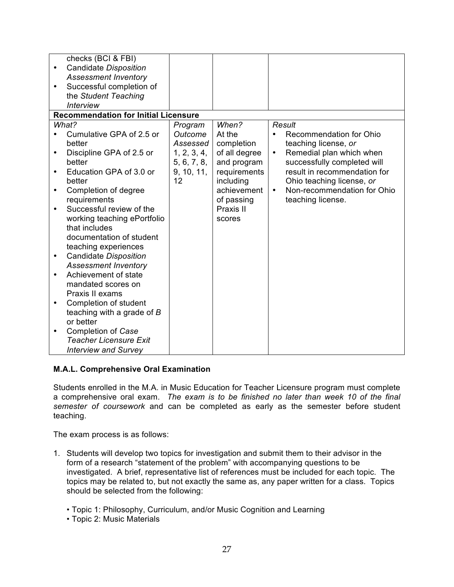| ٠<br>$\bullet$ | checks (BCI & FBI)<br>Candidate Disposition<br><b>Assessment Inventory</b><br>Successful completion of<br>the Student Teaching<br><b>Interview</b><br><b>Recommendation for Initial Licensure</b> |                            |                              |                                                               |
|----------------|---------------------------------------------------------------------------------------------------------------------------------------------------------------------------------------------------|----------------------------|------------------------------|---------------------------------------------------------------|
|                | What?                                                                                                                                                                                             | Program                    | When?                        | <b>Result</b>                                                 |
|                | Cumulative GPA of 2.5 or<br>better                                                                                                                                                                | Outcome<br>Assessed        | At the<br>completion         | Recommendation for Ohio<br>teaching license, or               |
| ٠              | Discipline GPA of 2.5 or<br>better                                                                                                                                                                | 1, 2, 3, 4,<br>5, 6, 7, 8, | of all degree<br>and program | Remedial plan which when<br>٠<br>successfully completed will  |
| $\bullet$      | Education GPA of 3.0 or<br>better                                                                                                                                                                 | 9, 10, 11,<br>12           | requirements<br>including    | result in recommendation for<br>Ohio teaching license, or     |
| ٠              | Completion of degree<br>requirements                                                                                                                                                              |                            | achievement<br>of passing    | Non-recommendation for Ohio<br>$\bullet$<br>teaching license. |
| ٠              | Successful review of the<br>working teaching ePortfolio<br>that includes<br>documentation of student<br>teaching experiences                                                                      |                            | Praxis II<br>scores          |                                                               |
| $\bullet$      | Candidate Disposition<br><b>Assessment Inventory</b>                                                                                                                                              |                            |                              |                                                               |
| $\bullet$      | Achievement of state<br>mandated scores on<br>Praxis II exams                                                                                                                                     |                            |                              |                                                               |
| ٠              | Completion of student<br>teaching with a grade of B<br>or better                                                                                                                                  |                            |                              |                                                               |
| ٠              | Completion of Case<br><b>Teacher Licensure Exit</b><br><b>Interview and Survey</b>                                                                                                                |                            |                              |                                                               |

# **M.A.L. Comprehensive Oral Examination**

Students enrolled in the M.A. in Music Education for Teacher Licensure program must complete a comprehensive oral exam. *The exam is to be finished no later than week 10 of the final semester of coursework* and can be completed as early as the semester before student teaching.

The exam process is as follows:

- 1. Students will develop two topics for investigation and submit them to their advisor in the form of a research "statement of the problem" with accompanying questions to be investigated. A brief, representative list of references must be included for each topic. The topics may be related to, but not exactly the same as, any paper written for a class. Topics should be selected from the following:
	- Topic 1: Philosophy, Curriculum, and/or Music Cognition and Learning
	- Topic 2: Music Materials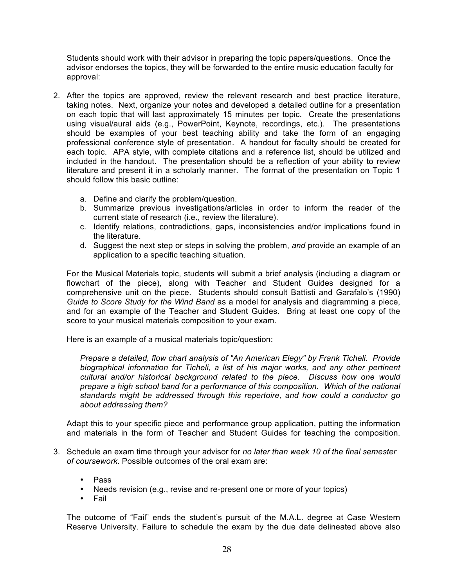Students should work with their advisor in preparing the topic papers/questions. Once the advisor endorses the topics, they will be forwarded to the entire music education faculty for approval:

- 2. After the topics are approved, review the relevant research and best practice literature, taking notes. Next, organize your notes and developed a detailed outline for a presentation on each topic that will last approximately 15 minutes per topic. Create the presentations using visual/aural aids (e.g., PowerPoint, Keynote, recordings, etc.). The presentations should be examples of your best teaching ability and take the form of an engaging professional conference style of presentation. A handout for faculty should be created for each topic. APA style, with complete citations and a reference list, should be utilized and included in the handout. The presentation should be a reflection of your ability to review literature and present it in a scholarly manner. The format of the presentation on Topic 1 should follow this basic outline:
	- a. Define and clarify the problem/question.
	- b. Summarize previous investigations/articles in order to inform the reader of the current state of research (i.e., review the literature).
	- c. Identify relations, contradictions, gaps, inconsistencies and/or implications found in the literature.
	- d. Suggest the next step or steps in solving the problem, *and* provide an example of an application to a specific teaching situation.

For the Musical Materials topic, students will submit a brief analysis (including a diagram or flowchart of the piece), along with Teacher and Student Guides designed for a comprehensive unit on the piece. Students should consult Battisti and Garafalo's (1990) *Guide to Score Study for the Wind Band* as a model for analysis and diagramming a piece, and for an example of the Teacher and Student Guides. Bring at least one copy of the score to your musical materials composition to your exam.

Here is an example of a musical materials topic/question:

*Prepare a detailed, flow chart analysis of "An American Elegy" by Frank Ticheli. Provide biographical information for Ticheli, a list of his major works, and any other pertinent cultural and/or historical background related to the piece. Discuss how one would prepare a high school band for a performance of this composition. Which of the national standards might be addressed through this repertoire, and how could a conductor go about addressing them?*

Adapt this to your specific piece and performance group application, putting the information and materials in the form of Teacher and Student Guides for teaching the composition.

- 3. Schedule an exam time through your advisor for *no later than week 10 of the final semester of coursework*. Possible outcomes of the oral exam are:
	- Pass
	- Needs revision (e.g., revise and re-present one or more of your topics)
	- Fail

The outcome of "Fail" ends the student's pursuit of the M.A.L. degree at Case Western Reserve University. Failure to schedule the exam by the due date delineated above also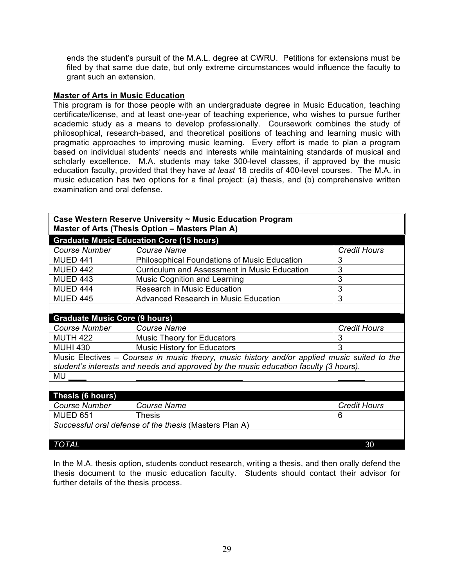ends the student's pursuit of the M.A.L. degree at CWRU. Petitions for extensions must be filed by that same due date, but only extreme circumstances would influence the faculty to grant such an extension.

## **Master of Arts in Music Education**

This program is for those people with an undergraduate degree in Music Education, teaching certificate/license, and at least one-year of teaching experience, who wishes to pursue further academic study as a means to develop professionally. Coursework combines the study of philosophical, research-based, and theoretical positions of teaching and learning music with pragmatic approaches to improving music learning. Every effort is made to plan a program based on individual students' needs and interests while maintaining standards of musical and scholarly excellence. M.A. students may take 300-level classes, if approved by the music education faculty, provided that they have *at least* 18 credits of 400-level courses. The M.A. in music education has two options for a final project: (a) thesis, and (b) comprehensive written examination and oral defense.

| Case Western Reserve University ~ Music Education Program<br>Master of Arts (Thesis Option - Masters Plan A)                                                                        |                                                     |                     |  |  |  |  |
|-------------------------------------------------------------------------------------------------------------------------------------------------------------------------------------|-----------------------------------------------------|---------------------|--|--|--|--|
| <b>Graduate Music Education Core (15 hours)</b>                                                                                                                                     |                                                     |                     |  |  |  |  |
| <b>Course Number</b>                                                                                                                                                                | <b>Course Name</b>                                  | <b>Credit Hours</b> |  |  |  |  |
| <b>MUED 441</b>                                                                                                                                                                     | <b>Philosophical Foundations of Music Education</b> | 3                   |  |  |  |  |
| <b>MUED 442</b>                                                                                                                                                                     | <b>Curriculum and Assessment in Music Education</b> | 3                   |  |  |  |  |
| <b>MUED 443</b>                                                                                                                                                                     | Music Cognition and Learning                        | 3                   |  |  |  |  |
| <b>MUED 444</b>                                                                                                                                                                     | <b>Research in Music Education</b>                  | 3                   |  |  |  |  |
| <b>MUED 445</b>                                                                                                                                                                     | <b>Advanced Research in Music Education</b>         | 3                   |  |  |  |  |
|                                                                                                                                                                                     |                                                     |                     |  |  |  |  |
| <b>Graduate Music Core (9 hours)</b>                                                                                                                                                |                                                     |                     |  |  |  |  |
| <b>Course Number</b>                                                                                                                                                                | <b>Course Name</b>                                  | <b>Credit Hours</b> |  |  |  |  |
| <b>MUTH 422</b>                                                                                                                                                                     | <b>Music Theory for Educators</b>                   |                     |  |  |  |  |
| <b>MUHI 430</b>                                                                                                                                                                     | <b>Music History for Educators</b>                  | 3                   |  |  |  |  |
| Music Electives – Courses in music theory, music history and/or applied music suited to the<br>student's interests and needs and approved by the music education faculty (3 hours). |                                                     |                     |  |  |  |  |
| MU                                                                                                                                                                                  |                                                     |                     |  |  |  |  |
|                                                                                                                                                                                     |                                                     |                     |  |  |  |  |
| Thesis (6 hours)                                                                                                                                                                    |                                                     |                     |  |  |  |  |
| <b>Course Number</b>                                                                                                                                                                | <b>Course Name</b>                                  |                     |  |  |  |  |
| <b>MUED 651</b>                                                                                                                                                                     | <b>Thesis</b>                                       | 6                   |  |  |  |  |
| Successful oral defense of the thesis (Masters Plan A)                                                                                                                              |                                                     |                     |  |  |  |  |
|                                                                                                                                                                                     |                                                     |                     |  |  |  |  |
| <b>TOTAL</b><br>30                                                                                                                                                                  |                                                     |                     |  |  |  |  |

In the M.A. thesis option, students conduct research, writing a thesis, and then orally defend the thesis document to the music education faculty. Students should contact their advisor for further details of the thesis process.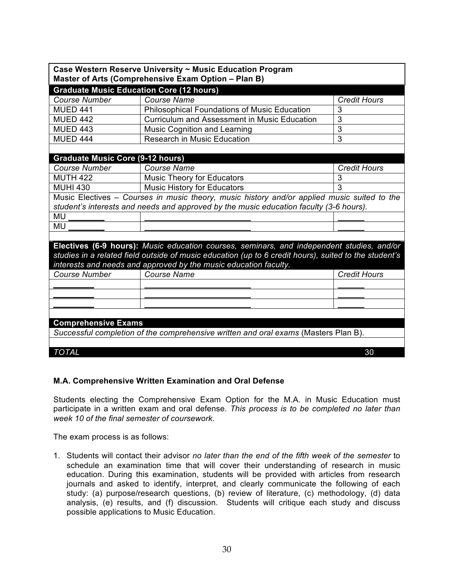| Case Western Reserve University ~ Music Education Program<br>Master of Arts (Comprehensive Exam Option - Plan B) |                                                                                                       |                     |  |  |  |  |
|------------------------------------------------------------------------------------------------------------------|-------------------------------------------------------------------------------------------------------|---------------------|--|--|--|--|
| <b>Graduate Music Education Core (12 hours)</b>                                                                  |                                                                                                       |                     |  |  |  |  |
| Course Number                                                                                                    | Course Name                                                                                           | <b>Credit Hours</b> |  |  |  |  |
| <b>MUED 441</b>                                                                                                  | <b>Philosophical Foundations of Music Education</b>                                                   |                     |  |  |  |  |
| <b>MUED 442</b>                                                                                                  | <b>Curriculum and Assessment in Music Education</b>                                                   | 3                   |  |  |  |  |
| <b>MUED 443</b>                                                                                                  | <b>Music Cognition and Learning</b>                                                                   | $\overline{3}$      |  |  |  |  |
| <b>MUED 444</b>                                                                                                  | <b>Research in Music Education</b>                                                                    | 3                   |  |  |  |  |
|                                                                                                                  |                                                                                                       |                     |  |  |  |  |
| <b>Graduate Music Core (9-12 hours)</b>                                                                          |                                                                                                       |                     |  |  |  |  |
| <b>Course Number</b>                                                                                             | <b>Course Name</b>                                                                                    | <b>Credit Hours</b> |  |  |  |  |
| <b>MUTH 422</b>                                                                                                  | <b>Music Theory for Educators</b>                                                                     | 3                   |  |  |  |  |
| <b>MUHI 430</b>                                                                                                  | Music History for Educators                                                                           | 3                   |  |  |  |  |
|                                                                                                                  | Music Electives - Courses in music theory, music history and/or applied music suited to the           |                     |  |  |  |  |
|                                                                                                                  | student's interests and needs and approved by the music education faculty (3-6 hours).                |                     |  |  |  |  |
| MU                                                                                                               |                                                                                                       |                     |  |  |  |  |
| MU                                                                                                               |                                                                                                       |                     |  |  |  |  |
|                                                                                                                  |                                                                                                       |                     |  |  |  |  |
|                                                                                                                  | Electives (6-9 hours): Music education courses, seminars, and independent studies, and/or             |                     |  |  |  |  |
|                                                                                                                  | studies in a related field outside of music education (up to 6 credit hours), suited to the student's |                     |  |  |  |  |
|                                                                                                                  | interests and needs and approved by the music education faculty.                                      |                     |  |  |  |  |
| <b>Course Number</b>                                                                                             | Course Name                                                                                           | <b>Credit Hours</b> |  |  |  |  |
|                                                                                                                  |                                                                                                       |                     |  |  |  |  |
|                                                                                                                  |                                                                                                       |                     |  |  |  |  |
|                                                                                                                  |                                                                                                       |                     |  |  |  |  |
|                                                                                                                  |                                                                                                       |                     |  |  |  |  |
| <b>Comprehensive Exams</b>                                                                                       |                                                                                                       |                     |  |  |  |  |
| Successful completion of the comprehensive written and oral exams (Masters Plan B).                              |                                                                                                       |                     |  |  |  |  |
|                                                                                                                  |                                                                                                       |                     |  |  |  |  |
| <b>TOTAL</b>                                                                                                     |                                                                                                       | 30                  |  |  |  |  |
|                                                                                                                  |                                                                                                       |                     |  |  |  |  |

# **M.A. Comprehensive Written Examination and Oral Defense**

Students electing the Comprehensive Exam Option for the M.A. in Music Education must participate in a written exam and oral defense. *This process is to be completed no later than week 10 of the final semester of coursework*.

The exam process is as follows:

1. Students will contact their advisor *no later than the end of the fifth week of the semester* to schedule an examination time that will cover their understanding of research in music education. During this examination, students will be provided with articles from research journals and asked to identify, interpret, and clearly communicate the following of each study: (a) purpose/research questions, (b) review of literature, (c) methodology, (d) data analysis, (e) results, and (f) discussion. Students will critique each study and discuss possible applications to Music Education.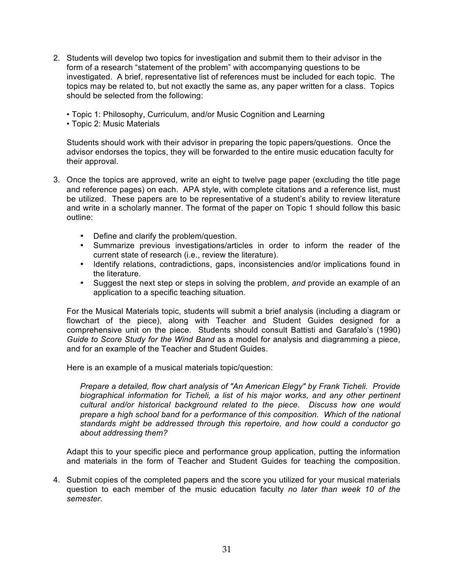- 2. Students will develop two topics for investigation and submit them to their advisor in the form of a research "statement of the problem" with accompanying questions to be investigated. A brief, representative list of references must be included for each topic. The topics may be related to, but not exactly the same as, any paper written for a class. Topics should be selected from the following:
	- Topic 1: Philosophy, Curriculum, and/or Music Cognition and Learning
	- Topic 2: Music Materials

Students should work with their advisor in preparing the topic papers/questions. Once the advisor endorses the topics, they will be forwarded to the entire music education faculty for their approval.

- 3. Once the topics are approved, write an eight to twelve page paper (excluding the title page and reference pages) on each. APA style, with complete citations and a reference list, must be utilized. These papers are to be representative of a student's ability to review literature and write in a scholarly manner. The format of the paper on Topic 1 should follow this basic outline:
	- Define and clarify the problem/question.
	- Summarize previous investigations/articles in order to inform the reader of the current state of research (i.e., review the literature).
	- Identify relations, contradictions, gaps, inconsistencies and/or implications found in the literature.
	- Suggest the next step or steps in solving the problem, *and* provide an example of an application to a specific teaching situation.

For the Musical Materials topic, students will submit a brief analysis (including a diagram or flowchart of the piece), along with Teacher and Student Guides designed for a comprehensive unit on the piece. Students should consult Battisti and Garafalo's (1990) *Guide to Score Study for the Wind Band* as a model for analysis and diagramming a piece, and for an example of the Teacher and Student Guides.

Here is an example of a musical materials topic/question:

*Prepare a detailed, flow chart analysis of "An American Elegy" by Frank Ticheli. Provide biographical information for Ticheli, a list of his major works, and any other pertinent cultural and/or historical background related to the piece. Discuss how one would prepare a high school band for a performance of this composition. Which of the national standards might be addressed through this repertoire, and how could a conductor go about addressing them?*

Adapt this to your specific piece and performance group application, putting the information and materials in the form of Teacher and Student Guides for teaching the composition.

4. Submit copies of the completed papers and the score you utilized for your musical materials question to each member of the music education faculty *no later than week 10 of the semester*.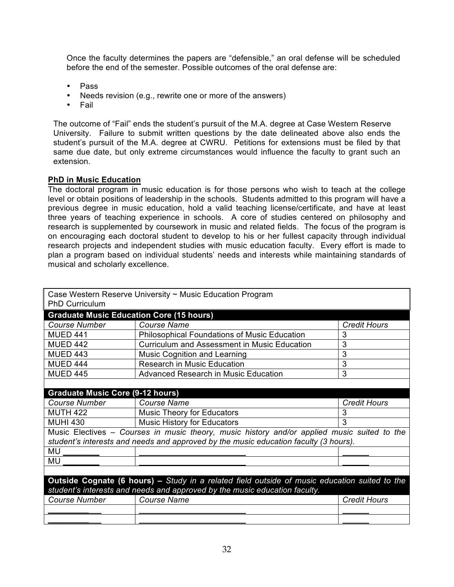Once the faculty determines the papers are "defensible," an oral defense will be scheduled before the end of the semester. Possible outcomes of the oral defense are:

- Pass
- Needs revision (e.g., rewrite one or more of the answers)
- Fail

The outcome of "Fail" ends the student's pursuit of the M.A. degree at Case Western Reserve University. Failure to submit written questions by the date delineated above also ends the student's pursuit of the M.A. degree at CWRU. Petitions for extensions must be filed by that same due date, but only extreme circumstances would influence the faculty to grant such an extension.

## **PhD in Music Education**

The doctoral program in music education is for those persons who wish to teach at the college level or obtain positions of leadership in the schools. Students admitted to this program will have a previous degree in music education, hold a valid teaching license/certificate, and have at least three years of teaching experience in schools. A core of studies centered on philosophy and research is supplemented by coursework in music and related fields. The focus of the program is on encouraging each doctoral student to develop to his or her fullest capacity through individual research projects and independent studies with music education faculty. Every effort is made to plan a program based on individual students' needs and interests while maintaining standards of musical and scholarly excellence.

| Case Western Reserve University ~ Music Education Program<br><b>PhD Curriculum</b>                   |                                                     |                     |  |  |  |
|------------------------------------------------------------------------------------------------------|-----------------------------------------------------|---------------------|--|--|--|
| <b>Graduate Music Education Core (15 hours)</b>                                                      |                                                     |                     |  |  |  |
| <b>Course Number</b>                                                                                 | <b>Course Name</b>                                  | <b>Credit Hours</b> |  |  |  |
| <b>MUED 441</b>                                                                                      | <b>Philosophical Foundations of Music Education</b> | 3                   |  |  |  |
| <b>MUED 442</b>                                                                                      | <b>Curriculum and Assessment in Music Education</b> |                     |  |  |  |
| <b>MUED 443</b>                                                                                      | <b>Music Cognition and Learning</b>                 | 3                   |  |  |  |
| <b>MUED 444</b>                                                                                      | <b>Research in Music Education</b>                  | 3                   |  |  |  |
| <b>MUED 445</b>                                                                                      | <b>Advanced Research in Music Education</b>         | 3                   |  |  |  |
|                                                                                                      |                                                     |                     |  |  |  |
| <b>Graduate Music Core (9-12 hours)</b>                                                              |                                                     |                     |  |  |  |
| <b>Course Number</b>                                                                                 | <b>Course Name</b>                                  |                     |  |  |  |
| <b>MUTH 422</b>                                                                                      | <b>Music Theory for Educators</b>                   | 3                   |  |  |  |
| <b>MUHI 430</b>                                                                                      | <b>Music History for Educators</b>                  |                     |  |  |  |
| Music Electives - Courses in music theory, music history and/or applied music suited to the          |                                                     |                     |  |  |  |
| student's interests and needs and approved by the music education faculty (3 hours).                 |                                                     |                     |  |  |  |
| MU                                                                                                   |                                                     |                     |  |  |  |
| MU                                                                                                   |                                                     |                     |  |  |  |
|                                                                                                      |                                                     |                     |  |  |  |
| <b>Outside Cognate (6 hours)</b> – Study in a related field outside of music education suited to the |                                                     |                     |  |  |  |
| student's interests and needs and approved by the music education faculty.                           |                                                     |                     |  |  |  |
| <b>Course Name</b><br><b>Course Number</b>                                                           |                                                     | <b>Credit Hours</b> |  |  |  |
|                                                                                                      |                                                     |                     |  |  |  |
|                                                                                                      |                                                     |                     |  |  |  |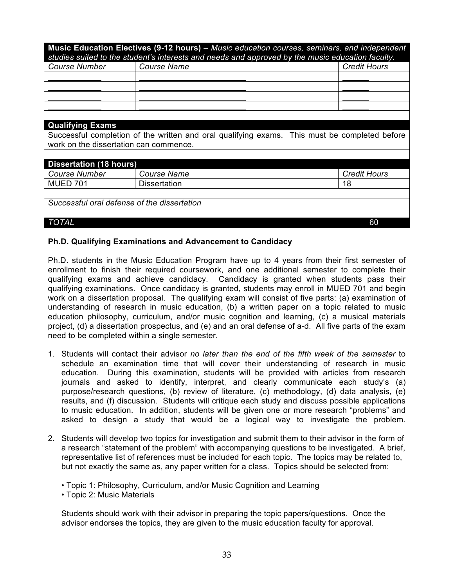| Music Education Electives (9-12 hours) – Music education courses, seminars, and independent<br>studies suited to the student's interests and needs and approved by the music education faculty. |                     |                     |  |  |
|-------------------------------------------------------------------------------------------------------------------------------------------------------------------------------------------------|---------------------|---------------------|--|--|
| <b>Course Name</b><br><b>Course Number</b>                                                                                                                                                      |                     | <b>Credit Hours</b> |  |  |
|                                                                                                                                                                                                 |                     |                     |  |  |
|                                                                                                                                                                                                 |                     |                     |  |  |
|                                                                                                                                                                                                 |                     |                     |  |  |
|                                                                                                                                                                                                 |                     |                     |  |  |
|                                                                                                                                                                                                 |                     |                     |  |  |
| <b>Qualifying Exams</b>                                                                                                                                                                         |                     |                     |  |  |
| Successful completion of the written and oral qualifying exams. This must be completed before<br>work on the dissertation can commence.                                                         |                     |                     |  |  |
|                                                                                                                                                                                                 |                     |                     |  |  |
| <b>Dissertation (18 hours)</b>                                                                                                                                                                  |                     |                     |  |  |
| <b>Course Number</b><br><b>Course Name</b>                                                                                                                                                      |                     | <b>Credit Hours</b> |  |  |
| <b>MUED 701</b>                                                                                                                                                                                 | <b>Dissertation</b> | 18                  |  |  |
|                                                                                                                                                                                                 |                     |                     |  |  |
| Successful oral defense of the dissertation                                                                                                                                                     |                     |                     |  |  |
|                                                                                                                                                                                                 |                     |                     |  |  |
| TOTAL                                                                                                                                                                                           |                     | 60                  |  |  |

## **Ph.D. Qualifying Examinations and Advancement to Candidacy**

Ph.D. students in the Music Education Program have up to 4 years from their first semester of enrollment to finish their required coursework, and one additional semester to complete their qualifying exams and achieve candidacy. Candidacy is granted when students pass their qualifying examinations. Once candidacy is granted, students may enroll in MUED 701 and begin work on a dissertation proposal. The qualifying exam will consist of five parts: (a) examination of understanding of research in music education, (b) a written paper on a topic related to music education philosophy, curriculum, and/or music cognition and learning, (c) a musical materials project, (d) a dissertation prospectus, and (e) and an oral defense of a-d. All five parts of the exam need to be completed within a single semester.

- 1. Students will contact their advisor *no later than the end of the fifth week of the semester* to schedule an examination time that will cover their understanding of research in music education. During this examination, students will be provided with articles from research journals and asked to identify, interpret, and clearly communicate each study's (a) purpose/research questions, (b) review of literature, (c) methodology, (d) data analysis, (e) results, and (f) discussion. Students will critique each study and discuss possible applications to music education. In addition, students will be given one or more research "problems" and asked to design a study that would be a logical way to investigate the problem.
- 2. Students will develop two topics for investigation and submit them to their advisor in the form of a research "statement of the problem" with accompanying questions to be investigated. A brief, representative list of references must be included for each topic. The topics may be related to, but not exactly the same as, any paper written for a class. Topics should be selected from:
	- Topic 1: Philosophy, Curriculum, and/or Music Cognition and Learning
	- Topic 2: Music Materials

Students should work with their advisor in preparing the topic papers/questions. Once the advisor endorses the topics, they are given to the music education faculty for approval.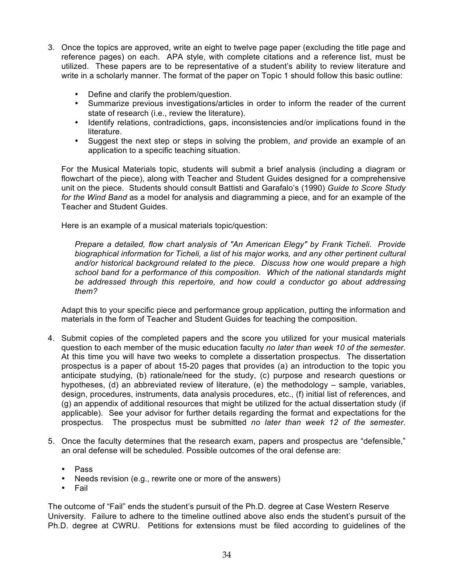- 3. Once the topics are approved, write an eight to twelve page paper (excluding the title page and reference pages) on each. APA style, with complete citations and a reference list, must be utilized. These papers are to be representative of a student's ability to review literature and write in a scholarly manner. The format of the paper on Topic 1 should follow this basic outline:
	- Define and clarify the problem/question.
	- Summarize previous investigations/articles in order to inform the reader of the current state of research (i.e., review the literature).
	- Identify relations, contradictions, gaps, inconsistencies and/or implications found in the literature.
	- Suggest the next step or steps in solving the problem, *and* provide an example of an application to a specific teaching situation.

For the Musical Materials topic, students will submit a brief analysis (including a diagram or flowchart of the piece), along with Teacher and Student Guides designed for a comprehensive unit on the piece. Students should consult Battisti and Garafalo's (1990) *Guide to Score Study for the Wind Band* as a model for analysis and diagramming a piece, and for an example of the Teacher and Student Guides.

Here is an example of a musical materials topic/question:

*Prepare a detailed, flow chart analysis of "An American Elegy" by Frank Ticheli. Provide biographical information for Ticheli, a list of his major works, and any other pertinent cultural and/or historical background related to the piece. Discuss how one would prepare a high school band for a performance of this composition. Which of the national standards might be addressed through this repertoire, and how could a conductor go about addressing them?*

Adapt this to your specific piece and performance group application, putting the information and materials in the form of Teacher and Student Guides for teaching the composition.

- 4. Submit copies of the completed papers and the score you utilized for your musical materials question to each member of the music education faculty *no later than week 10 of the semester*. At this time you will have two weeks to complete a dissertation prospectus. The dissertation prospectus is a paper of about 15-20 pages that provides (a) an introduction to the topic you anticipate studying, (b) rationale/need for the study, (c) purpose and research questions or hypotheses, (d) an abbreviated review of literature, (e) the methodology – sample, variables, design, procedures, instruments, data analysis procedures, etc., (f) initial list of references, and (g) an appendix of additional resources that might be utilized for the actual dissertation study (if applicable). See your advisor for further details regarding the format and expectations for the prospectus. The prospectus must be submitted *no later than week 12 of the semester.*
- 5. Once the faculty determines that the research exam, papers and prospectus are "defensible," an oral defense will be scheduled. Possible outcomes of the oral defense are:
	- Pass
	- Needs revision (e.g., rewrite one or more of the answers)
	- Fail

The outcome of "Fail" ends the student's pursuit of the Ph.D. degree at Case Western Reserve University. Failure to adhere to the timeline outlined above also ends the student's pursuit of the Ph.D. degree at CWRU. Petitions for extensions must be filed according to guidelines of the